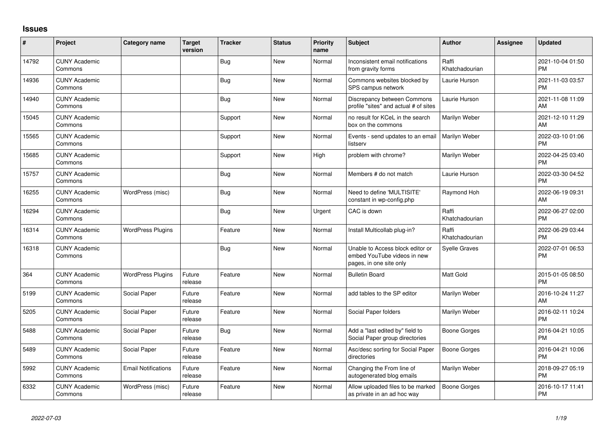## **Issues**

| $\sharp$ | Project                         | <b>Category name</b>       | <b>Target</b><br>version | <b>Tracker</b> | <b>Status</b> | <b>Priority</b><br>name | <b>Subject</b>                                                                             | <b>Author</b>           | Assignee | <b>Updated</b>                |
|----------|---------------------------------|----------------------------|--------------------------|----------------|---------------|-------------------------|--------------------------------------------------------------------------------------------|-------------------------|----------|-------------------------------|
| 14792    | <b>CUNY Academic</b><br>Commons |                            |                          | <b>Bug</b>     | <b>New</b>    | Normal                  | Inconsistent email notifications<br>from gravity forms                                     | Raffi<br>Khatchadourian |          | 2021-10-04 01:50<br><b>PM</b> |
| 14936    | <b>CUNY Academic</b><br>Commons |                            |                          | Bug            | New           | Normal                  | Commons websites blocked by<br>SPS campus network                                          | Laurie Hurson           |          | 2021-11-03 03:57<br><b>PM</b> |
| 14940    | <b>CUNY Academic</b><br>Commons |                            |                          | Bug            | New           | Normal                  | Discrepancy between Commons<br>profile "sites" and actual # of sites                       | Laurie Hurson           |          | 2021-11-08 11:09<br>AM        |
| 15045    | <b>CUNY Academic</b><br>Commons |                            |                          | Support        | New           | Normal                  | no result for KCeL in the search<br>box on the commons                                     | Marilyn Weber           |          | 2021-12-10 11:29<br>AM        |
| 15565    | <b>CUNY Academic</b><br>Commons |                            |                          | Support        | <b>New</b>    | Normal                  | Events - send updates to an email<br>listserv                                              | Marilyn Weber           |          | 2022-03-10 01:06<br><b>PM</b> |
| 15685    | <b>CUNY Academic</b><br>Commons |                            |                          | Support        | New           | High                    | problem with chrome?                                                                       | Marilyn Weber           |          | 2022-04-25 03:40<br><b>PM</b> |
| 15757    | <b>CUNY Academic</b><br>Commons |                            |                          | Bug            | <b>New</b>    | Normal                  | Members # do not match                                                                     | Laurie Hurson           |          | 2022-03-30 04:52<br><b>PM</b> |
| 16255    | <b>CUNY Academic</b><br>Commons | WordPress (misc)           |                          | Bug            | New           | Normal                  | Need to define 'MULTISITE'<br>constant in wp-config.php                                    | Raymond Hoh             |          | 2022-06-19 09:31<br>AM        |
| 16294    | <b>CUNY Academic</b><br>Commons |                            |                          | Bug            | New           | Urgent                  | CAC is down                                                                                | Raffi<br>Khatchadourian |          | 2022-06-27 02:00<br><b>PM</b> |
| 16314    | <b>CUNY Academic</b><br>Commons | <b>WordPress Plugins</b>   |                          | Feature        | New           | Normal                  | Install Multicollab plug-in?                                                               | Raffi<br>Khatchadourian |          | 2022-06-29 03:44<br><b>PM</b> |
| 16318    | <b>CUNY Academic</b><br>Commons |                            |                          | Bug            | <b>New</b>    | Normal                  | Unable to Access block editor or<br>embed YouTube videos in new<br>pages, in one site only | <b>Syelle Graves</b>    |          | 2022-07-01 06:53<br><b>PM</b> |
| 364      | <b>CUNY Academic</b><br>Commons | <b>WordPress Plugins</b>   | Future<br>release        | Feature        | <b>New</b>    | Normal                  | <b>Bulletin Board</b>                                                                      | <b>Matt Gold</b>        |          | 2015-01-05 08:50<br><b>PM</b> |
| 5199     | <b>CUNY Academic</b><br>Commons | Social Paper               | Future<br>release        | Feature        | New           | Normal                  | add tables to the SP editor                                                                | Marilyn Weber           |          | 2016-10-24 11:27<br>AM        |
| 5205     | <b>CUNY Academic</b><br>Commons | Social Paper               | Future<br>release        | Feature        | New           | Normal                  | Social Paper folders                                                                       | Marilyn Weber           |          | 2016-02-11 10:24<br><b>PM</b> |
| 5488     | <b>CUNY Academic</b><br>Commons | Social Paper               | Future<br>release        | Bug            | New           | Normal                  | Add a "last edited by" field to<br>Social Paper group directories                          | Boone Gorges            |          | 2016-04-21 10:05<br><b>PM</b> |
| 5489     | <b>CUNY Academic</b><br>Commons | Social Paper               | Future<br>release        | Feature        | <b>New</b>    | Normal                  | Asc/desc sorting for Social Paper<br>directories                                           | Boone Gorges            |          | 2016-04-21 10:06<br><b>PM</b> |
| 5992     | <b>CUNY Academic</b><br>Commons | <b>Email Notifications</b> | Future<br>release        | Feature        | New           | Normal                  | Changing the From line of<br>autogenerated blog emails                                     | Marilyn Weber           |          | 2018-09-27 05:19<br><b>PM</b> |
| 6332     | <b>CUNY Academic</b><br>Commons | WordPress (misc)           | Future<br>release        | Feature        | <b>New</b>    | Normal                  | Allow uploaded files to be marked<br>as private in an ad hoc way                           | Boone Gorges            |          | 2016-10-17 11:41<br>PM        |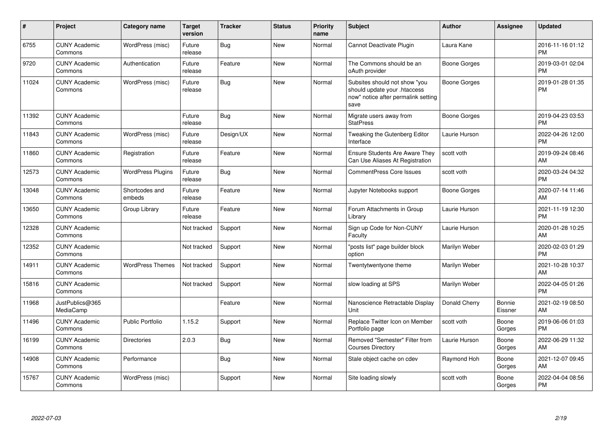| #     | Project                         | <b>Category name</b>     | <b>Target</b><br>version | <b>Tracker</b> | <b>Status</b> | <b>Priority</b><br>name | <b>Subject</b>                                                                                               | <b>Author</b> | <b>Assignee</b>   | <b>Updated</b>                |
|-------|---------------------------------|--------------------------|--------------------------|----------------|---------------|-------------------------|--------------------------------------------------------------------------------------------------------------|---------------|-------------------|-------------------------------|
| 6755  | <b>CUNY Academic</b><br>Commons | WordPress (misc)         | Future<br>release        | <b>Bug</b>     | New           | Normal                  | <b>Cannot Deactivate Plugin</b>                                                                              | Laura Kane    |                   | 2016-11-16 01:12<br><b>PM</b> |
| 9720  | <b>CUNY Academic</b><br>Commons | Authentication           | Future<br>release        | Feature        | New           | Normal                  | The Commons should be an<br>oAuth provider                                                                   | Boone Gorges  |                   | 2019-03-01 02:04<br><b>PM</b> |
| 11024 | <b>CUNY Academic</b><br>Commons | WordPress (misc)         | Future<br>release        | Bug            | New           | Normal                  | Subsites should not show "you<br>should update your .htaccess<br>now" notice after permalink setting<br>save | Boone Gorges  |                   | 2019-01-28 01:35<br>PM        |
| 11392 | <b>CUNY Academic</b><br>Commons |                          | Future<br>release        | Bug            | New           | Normal                  | Migrate users away from<br><b>StatPress</b>                                                                  | Boone Gorges  |                   | 2019-04-23 03:53<br><b>PM</b> |
| 11843 | <b>CUNY Academic</b><br>Commons | WordPress (misc)         | Future<br>release        | Design/UX      | New           | Normal                  | Tweaking the Gutenberg Editor<br>Interface                                                                   | Laurie Hurson |                   | 2022-04-26 12:00<br><b>PM</b> |
| 11860 | <b>CUNY Academic</b><br>Commons | Registration             | Future<br>release        | Feature        | New           | Normal                  | <b>Ensure Students Are Aware They</b><br>Can Use Aliases At Registration                                     | scott voth    |                   | 2019-09-24 08:46<br>AM        |
| 12573 | <b>CUNY Academic</b><br>Commons | <b>WordPress Plugins</b> | Future<br>release        | <b>Bug</b>     | <b>New</b>    | Normal                  | <b>CommentPress Core Issues</b>                                                                              | scott voth    |                   | 2020-03-24 04:32<br><b>PM</b> |
| 13048 | <b>CUNY Academic</b><br>Commons | Shortcodes and<br>embeds | Future<br>release        | Feature        | <b>New</b>    | Normal                  | Jupyter Notebooks support                                                                                    | Boone Gorges  |                   | 2020-07-14 11:46<br>AM        |
| 13650 | <b>CUNY Academic</b><br>Commons | Group Library            | Future<br>release        | Feature        | <b>New</b>    | Normal                  | Forum Attachments in Group<br>Library                                                                        | Laurie Hurson |                   | 2021-11-19 12:30<br><b>PM</b> |
| 12328 | <b>CUNY Academic</b><br>Commons |                          | Not tracked              | Support        | <b>New</b>    | Normal                  | Sign up Code for Non-CUNY<br>Faculty                                                                         | Laurie Hurson |                   | 2020-01-28 10:25<br>AM        |
| 12352 | <b>CUNY Academic</b><br>Commons |                          | Not tracked              | Support        | <b>New</b>    | Normal                  | "posts list" page builder block<br>option                                                                    | Marilyn Weber |                   | 2020-02-03 01:29<br><b>PM</b> |
| 14911 | <b>CUNY Academic</b><br>Commons | <b>WordPress Themes</b>  | Not tracked              | Support        | New           | Normal                  | Twentytwentyone theme                                                                                        | Marilyn Weber |                   | 2021-10-28 10:37<br>AM        |
| 15816 | <b>CUNY Academic</b><br>Commons |                          | Not tracked              | Support        | New           | Normal                  | slow loading at SPS                                                                                          | Marilyn Weber |                   | 2022-04-05 01:26<br><b>PM</b> |
| 11968 | JustPublics@365<br>MediaCamp    |                          |                          | Feature        | New           | Normal                  | Nanoscience Retractable Display<br>Unit                                                                      | Donald Cherry | Bonnie<br>Eissner | 2021-02-19 08:50<br>AM        |
| 11496 | <b>CUNY Academic</b><br>Commons | <b>Public Portfolio</b>  | 1.15.2                   | Support        | New           | Normal                  | Replace Twitter Icon on Member<br>Portfolio page                                                             | scott voth    | Boone<br>Gorges   | 2019-06-06 01:03<br><b>PM</b> |
| 16199 | <b>CUNY Academic</b><br>Commons | <b>Directories</b>       | 2.0.3                    | Bug            | New           | Normal                  | Removed "Semester" Filter from<br><b>Courses Directory</b>                                                   | Laurie Hurson | Boone<br>Gorges   | 2022-06-29 11:32<br>AM        |
| 14908 | <b>CUNY Academic</b><br>Commons | Performance              |                          | <b>Bug</b>     | <b>New</b>    | Normal                  | Stale object cache on cdev                                                                                   | Raymond Hoh   | Boone<br>Gorges   | 2021-12-07 09:45<br>AM        |
| 15767 | <b>CUNY Academic</b><br>Commons | WordPress (misc)         |                          | Support        | <b>New</b>    | Normal                  | Site loading slowly                                                                                          | scott voth    | Boone<br>Gorges   | 2022-04-04 08:56<br>PM        |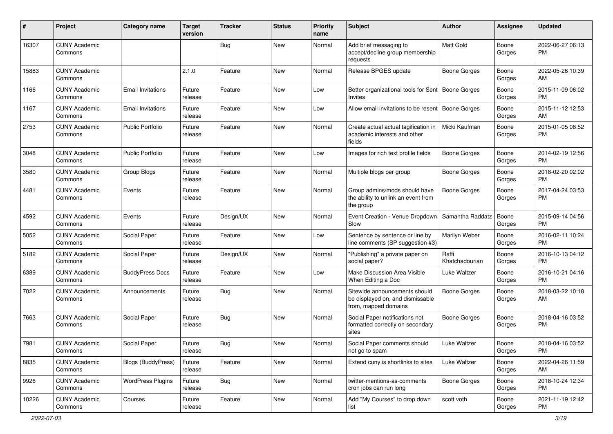| #     | Project                         | <b>Category name</b>      | <b>Target</b><br>version | Tracker    | <b>Status</b> | Priority<br>name | <b>Subject</b>                                                                            | <b>Author</b>           | <b>Assignee</b> | <b>Updated</b>                |
|-------|---------------------------------|---------------------------|--------------------------|------------|---------------|------------------|-------------------------------------------------------------------------------------------|-------------------------|-----------------|-------------------------------|
| 16307 | <b>CUNY Academic</b><br>Commons |                           |                          | <b>Bug</b> | <b>New</b>    | Normal           | Add brief messaging to<br>accept/decline group membership<br>requests                     | Matt Gold               | Boone<br>Gorges | 2022-06-27 06:13<br>PM        |
| 15883 | <b>CUNY Academic</b><br>Commons |                           | 2.1.0                    | Feature    | New           | Normal           | Release BPGES update                                                                      | <b>Boone Gorges</b>     | Boone<br>Gorges | 2022-05-26 10:39<br>AM        |
| 1166  | <b>CUNY Academic</b><br>Commons | <b>Email Invitations</b>  | Future<br>release        | Feature    | New           | Low              | Better organizational tools for Sent   Boone Gorges<br>Invites                            |                         | Boone<br>Gorges | 2015-11-09 06:02<br><b>PM</b> |
| 1167  | <b>CUNY Academic</b><br>Commons | Email Invitations         | Future<br>release        | Feature    | <b>New</b>    | Low              | Allow email invitations to be resent                                                      | Boone Gorges            | Boone<br>Gorges | 2015-11-12 12:53<br>AM        |
| 2753  | <b>CUNY Academic</b><br>Commons | <b>Public Portfolio</b>   | Future<br>release        | Feature    | <b>New</b>    | Normal           | Create actual actual tagification in<br>academic interests and other<br>fields            | Micki Kaufman           | Boone<br>Gorges | 2015-01-05 08:52<br><b>PM</b> |
| 3048  | <b>CUNY Academic</b><br>Commons | <b>Public Portfolio</b>   | Future<br>release        | Feature    | <b>New</b>    | Low              | Images for rich text profile fields                                                       | <b>Boone Gorges</b>     | Boone<br>Gorges | 2014-02-19 12:56<br><b>PM</b> |
| 3580  | <b>CUNY Academic</b><br>Commons | Group Blogs               | Future<br>release        | Feature    | New           | Normal           | Multiple blogs per group                                                                  | <b>Boone Gorges</b>     | Boone<br>Gorges | 2018-02-20 02:02<br><b>PM</b> |
| 4481  | <b>CUNY Academic</b><br>Commons | Events                    | Future<br>release        | Feature    | New           | Normal           | Group admins/mods should have<br>the ability to unlink an event from<br>the group         | <b>Boone Gorges</b>     | Boone<br>Gorges | 2017-04-24 03:53<br><b>PM</b> |
| 4592  | <b>CUNY Academic</b><br>Commons | Events                    | Future<br>release        | Design/UX  | <b>New</b>    | Normal           | Event Creation - Venue Dropdown<br>Slow                                                   | Samantha Raddatz        | Boone<br>Gorges | 2015-09-14 04:56<br><b>PM</b> |
| 5052  | <b>CUNY Academic</b><br>Commons | Social Paper              | Future<br>release        | Feature    | <b>New</b>    | Low              | Sentence by sentence or line by<br>line comments (SP suggestion #3)                       | Marilyn Weber           | Boone<br>Gorges | 2016-02-11 10:24<br><b>PM</b> |
| 5182  | <b>CUNY Academic</b><br>Commons | Social Paper              | Future<br>release        | Design/UX  | <b>New</b>    | Normal           | "Publishing" a private paper on<br>social paper?                                          | Raffi<br>Khatchadourian | Boone<br>Gorges | 2016-10-13 04:12<br><b>PM</b> |
| 6389  | <b>CUNY Academic</b><br>Commons | <b>BuddyPress Docs</b>    | Future<br>release        | Feature    | <b>New</b>    | Low              | Make Discussion Area Visible<br>When Editing a Doc                                        | Luke Waltzer            | Boone<br>Gorges | 2016-10-21 04:16<br><b>PM</b> |
| 7022  | <b>CUNY Academic</b><br>Commons | Announcements             | Future<br>release        | Bug        | New           | Normal           | Sitewide announcements should<br>be displayed on, and dismissable<br>from, mapped domains | <b>Boone Gorges</b>     | Boone<br>Gorges | 2018-03-22 10:18<br>AM        |
| 7663  | <b>CUNY Academic</b><br>Commons | Social Paper              | Future<br>release        | Bug        | New           | Normal           | Social Paper notifications not<br>formatted correctly on secondary<br>sites               | <b>Boone Gorges</b>     | Boone<br>Gorges | 2018-04-16 03:52<br><b>PM</b> |
| 7981  | <b>CUNY Academic</b><br>Commons | Social Paper              | Future<br>release        | <b>Bug</b> | New           | Normal           | Social Paper comments should<br>not go to spam                                            | Luke Waltzer            | Boone<br>Gorges | 2018-04-16 03:52<br>PM        |
| 8835  | <b>CUNY Academic</b><br>Commons | <b>Blogs (BuddyPress)</b> | Future<br>release        | Feature    | New           | Normal           | Extend cuny.is shortlinks to sites                                                        | Luke Waltzer            | Boone<br>Gorges | 2022-04-26 11:59<br>AM        |
| 9926  | <b>CUNY Academic</b><br>Commons | <b>WordPress Plugins</b>  | Future<br>release        | Bug        | New           | Normal           | twitter-mentions-as-comments<br>cron jobs can run long                                    | Boone Gorges            | Boone<br>Gorges | 2018-10-24 12:34<br>PM.       |
| 10226 | <b>CUNY Academic</b><br>Commons | Courses                   | Future<br>release        | Feature    | New           | Normal           | Add "My Courses" to drop down<br>list                                                     | scott voth              | Boone<br>Gorges | 2021-11-19 12:42<br>PM        |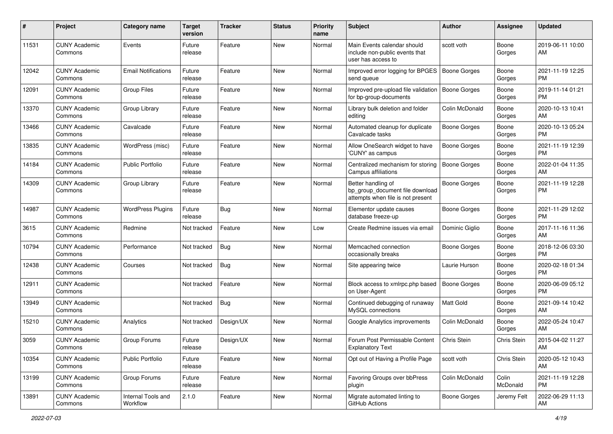| #     | Project                         | Category name                  | <b>Target</b><br>version | <b>Tracker</b> | <b>Status</b> | <b>Priority</b><br>name | <b>Subject</b>                                                                             | <b>Author</b>       | <b>Assignee</b>   | <b>Updated</b>                |
|-------|---------------------------------|--------------------------------|--------------------------|----------------|---------------|-------------------------|--------------------------------------------------------------------------------------------|---------------------|-------------------|-------------------------------|
| 11531 | <b>CUNY Academic</b><br>Commons | Events                         | Future<br>release        | Feature        | New           | Normal                  | Main Events calendar should<br>include non-public events that<br>user has access to        | scott voth          | Boone<br>Gorges   | 2019-06-11 10:00<br>AM        |
| 12042 | <b>CUNY Academic</b><br>Commons | <b>Email Notifications</b>     | Future<br>release        | Feature        | New           | Normal                  | Improved error logging for BPGES<br>send queue                                             | Boone Gorges        | Boone<br>Gorges   | 2021-11-19 12:25<br>PM.       |
| 12091 | <b>CUNY Academic</b><br>Commons | Group Files                    | Future<br>release        | Feature        | New           | Normal                  | Improved pre-upload file validation   Boone Gorges<br>for bp-group-documents               |                     | Boone<br>Gorges   | 2019-11-14 01:21<br><b>PM</b> |
| 13370 | <b>CUNY Academic</b><br>Commons | Group Library                  | Future<br>release        | Feature        | New           | Normal                  | Library bulk deletion and folder<br>editing                                                | Colin McDonald      | Boone<br>Gorges   | 2020-10-13 10:41<br>AM        |
| 13466 | <b>CUNY Academic</b><br>Commons | Cavalcade                      | Future<br>release        | Feature        | New           | Normal                  | Automated cleanup for duplicate<br>Cavalcade tasks                                         | Boone Gorges        | Boone<br>Gorges   | 2020-10-13 05:24<br>PM.       |
| 13835 | <b>CUNY Academic</b><br>Commons | WordPress (misc)               | Future<br>release        | Feature        | New           | Normal                  | Allow OneSearch widget to have<br>'CUNY' as campus                                         | Boone Gorges        | Boone<br>Gorges   | 2021-11-19 12:39<br><b>PM</b> |
| 14184 | <b>CUNY Academic</b><br>Commons | <b>Public Portfolio</b>        | Future<br>release        | Feature        | New           | Normal                  | Centralized mechanism for storing<br>Campus affiliations                                   | <b>Boone Gorges</b> | Boone<br>Gorges   | 2022-01-04 11:35<br>AM.       |
| 14309 | <b>CUNY Academic</b><br>Commons | Group Library                  | Future<br>release        | Feature        | New           | Normal                  | Better handling of<br>bp_group_document file download<br>attempts when file is not present | Boone Gorges        | Boone<br>Gorges   | 2021-11-19 12:28<br><b>PM</b> |
| 14987 | <b>CUNY Academic</b><br>Commons | <b>WordPress Plugins</b>       | Future<br>release        | Bug            | <b>New</b>    | Normal                  | Elementor update causes<br>database freeze-up                                              | <b>Boone Gorges</b> | Boone<br>Gorges   | 2021-11-29 12:02<br><b>PM</b> |
| 3615  | <b>CUNY Academic</b><br>Commons | Redmine                        | Not tracked              | Feature        | <b>New</b>    | Low                     | Create Redmine issues via email                                                            | Dominic Giglio      | Boone<br>Gorges   | 2017-11-16 11:36<br>AM        |
| 10794 | <b>CUNY Academic</b><br>Commons | Performance                    | Not tracked              | <b>Bug</b>     | New           | Normal                  | Memcached connection<br>occasionally breaks                                                | <b>Boone Gorges</b> | Boone<br>Gorges   | 2018-12-06 03:30<br><b>PM</b> |
| 12438 | <b>CUNY Academic</b><br>Commons | Courses                        | Not tracked              | <b>Bug</b>     | New           | Normal                  | Site appearing twice                                                                       | Laurie Hurson       | Boone<br>Gorges   | 2020-02-18 01:34<br>PM.       |
| 12911 | <b>CUNY Academic</b><br>Commons |                                | Not tracked              | Feature        | New           | Normal                  | Block access to xmlrpc.php based<br>on User-Agent                                          | <b>Boone Gorges</b> | Boone<br>Gorges   | 2020-06-09 05:12<br>PM.       |
| 13949 | <b>CUNY Academic</b><br>Commons |                                | Not tracked              | Bug            | New           | Normal                  | Continued debugging of runaway<br>MySQL connections                                        | <b>Matt Gold</b>    | Boone<br>Gorges   | 2021-09-14 10:42<br>AM        |
| 15210 | <b>CUNY Academic</b><br>Commons | Analytics                      | Not tracked              | Design/UX      | New           | Normal                  | Google Analytics improvements                                                              | Colin McDonald      | Boone<br>Gorges   | 2022-05-24 10:47<br>AM        |
| 3059  | <b>CUNY Academic</b><br>Commons | Group Forums                   | Future<br>release        | Design/UX      | New           | Normal                  | Forum Post Permissable Content<br><b>Explanatory Text</b>                                  | Chris Stein         | Chris Stein       | 2015-04-02 11:27<br>AM        |
| 10354 | <b>CUNY Academic</b><br>Commons | <b>Public Portfolio</b>        | Future<br>release        | Feature        | New           | Normal                  | Opt out of Having a Profile Page                                                           | scott voth          | Chris Stein       | 2020-05-12 10:43<br>AM        |
| 13199 | <b>CUNY Academic</b><br>Commons | Group Forums                   | Future<br>release        | Feature        | New           | Normal                  | Favoring Groups over bbPress<br>plugin                                                     | Colin McDonald      | Colin<br>McDonald | 2021-11-19 12:28<br><b>PM</b> |
| 13891 | <b>CUNY Academic</b><br>Commons | Internal Tools and<br>Workflow | 2.1.0                    | Feature        | New           | Normal                  | Migrate automated linting to<br>GitHub Actions                                             | Boone Gorges        | Jeremy Felt       | 2022-06-29 11:13<br>AM        |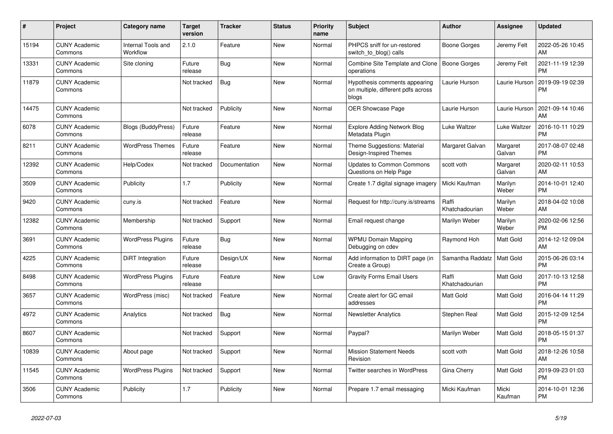| #     | <b>Project</b>                  | <b>Category name</b>           | <b>Target</b><br>version | <b>Tracker</b> | <b>Status</b> | <b>Priority</b><br>name | <b>Subject</b>                                                               | <b>Author</b>           | Assignee           | <b>Updated</b>                |
|-------|---------------------------------|--------------------------------|--------------------------|----------------|---------------|-------------------------|------------------------------------------------------------------------------|-------------------------|--------------------|-------------------------------|
| 15194 | <b>CUNY Academic</b><br>Commons | Internal Tools and<br>Workflow | 2.1.0                    | Feature        | <b>New</b>    | Normal                  | PHPCS sniff for un-restored<br>switch_to_blog() calls                        | Boone Gorges            | Jeremy Felt        | 2022-05-26 10:45<br>AM        |
| 13331 | <b>CUNY Academic</b><br>Commons | Site cloning                   | Future<br>release        | Bug            | New           | Normal                  | Combine Site Template and Clone<br>operations                                | Boone Gorges            | Jeremy Felt        | 2021-11-19 12:39<br><b>PM</b> |
| 11879 | <b>CUNY Academic</b><br>Commons |                                | Not tracked              | Bug            | New           | Normal                  | Hypothesis comments appearing<br>on multiple, different pdfs across<br>blogs | Laurie Hurson           | Laurie Hurson      | 2019-09-19 02:39<br><b>PM</b> |
| 14475 | <b>CUNY Academic</b><br>Commons |                                | Not tracked              | Publicity      | <b>New</b>    | Normal                  | <b>OER Showcase Page</b>                                                     | Laurie Hurson           | Laurie Hurson      | 2021-09-14 10:46<br>AM        |
| 6078  | <b>CUNY Academic</b><br>Commons | <b>Blogs (BuddyPress)</b>      | Future<br>release        | Feature        | New           | Normal                  | <b>Explore Adding Network Blog</b><br>Metadata Plugin                        | Luke Waltzer            | Luke Waltzer       | 2016-10-11 10:29<br><b>PM</b> |
| 8211  | <b>CUNY Academic</b><br>Commons | <b>WordPress Themes</b>        | Future<br>release        | Feature        | New           | Normal                  | Theme Suggestions: Material<br>Design-Inspired Themes                        | Margaret Galvan         | Margaret<br>Galvan | 2017-08-07 02:48<br><b>PM</b> |
| 12392 | <b>CUNY Academic</b><br>Commons | Help/Codex                     | Not tracked              | Documentation  | <b>New</b>    | Normal                  | <b>Updates to Common Commons</b><br>Questions on Help Page                   | scott voth              | Margaret<br>Galvan | 2020-02-11 10:53<br>AM        |
| 3509  | <b>CUNY Academic</b><br>Commons | Publicity                      | 1.7                      | Publicity      | <b>New</b>    | Normal                  | Create 1.7 digital signage imagery                                           | Micki Kaufman           | Marilyn<br>Weber   | 2014-10-01 12:40<br><b>PM</b> |
| 9420  | <b>CUNY Academic</b><br>Commons | cuny.is                        | Not tracked              | Feature        | <b>New</b>    | Normal                  | Request for http://cuny.is/streams                                           | Raffi<br>Khatchadourian | Marilyn<br>Weber   | 2018-04-02 10:08<br>AM        |
| 12382 | <b>CUNY Academic</b><br>Commons | Membership                     | Not tracked              | Support        | <b>New</b>    | Normal                  | Email request change                                                         | Marilyn Weber           | Marilyn<br>Weber   | 2020-02-06 12:56<br><b>PM</b> |
| 3691  | <b>CUNY Academic</b><br>Commons | <b>WordPress Plugins</b>       | Future<br>release        | Bug            | New           | Normal                  | <b>WPMU Domain Mapping</b><br>Debugging on cdev                              | Raymond Hoh             | Matt Gold          | 2014-12-12 09:04<br>AM        |
| 4225  | <b>CUNY Academic</b><br>Commons | DiRT Integration               | Future<br>release        | Design/UX      | New           | Normal                  | Add information to DIRT page (in<br>Create a Group)                          | Samantha Raddatz        | <b>Matt Gold</b>   | 2015-06-26 03:14<br><b>PM</b> |
| 8498  | <b>CUNY Academic</b><br>Commons | <b>WordPress Plugins</b>       | Future<br>release        | Feature        | <b>New</b>    | Low                     | <b>Gravity Forms Email Users</b>                                             | Raffi<br>Khatchadourian | Matt Gold          | 2017-10-13 12:58<br><b>PM</b> |
| 3657  | <b>CUNY Academic</b><br>Commons | WordPress (misc)               | Not tracked              | Feature        | New           | Normal                  | Create alert for GC email<br>addresses                                       | <b>Matt Gold</b>        | Matt Gold          | 2016-04-14 11:29<br><b>PM</b> |
| 4972  | <b>CUNY Academic</b><br>Commons | Analytics                      | Not tracked              | <b>Bug</b>     | <b>New</b>    | Normal                  | <b>Newsletter Analytics</b>                                                  | Stephen Real            | Matt Gold          | 2015-12-09 12:54<br><b>PM</b> |
| 8607  | <b>CUNY Academic</b><br>Commons |                                | Not tracked              | Support        | <b>New</b>    | Normal                  | Paypal?                                                                      | Marilyn Weber           | Matt Gold          | 2018-05-15 01:37<br><b>PM</b> |
| 10839 | <b>CUNY Academic</b><br>Commons | About page                     | Not tracked              | Support        | <b>New</b>    | Normal                  | <b>Mission Statement Needs</b><br>Revision                                   | scott voth              | Matt Gold          | 2018-12-26 10:58<br>AM        |
| 11545 | <b>CUNY Academic</b><br>Commons | <b>WordPress Plugins</b>       | Not tracked              | Support        | New           | Normal                  | Twitter searches in WordPress                                                | Gina Cherry             | Matt Gold          | 2019-09-23 01:03<br><b>PM</b> |
| 3506  | <b>CUNY Academic</b><br>Commons | Publicity                      | 1.7                      | Publicity      | <b>New</b>    | Normal                  | Prepare 1.7 email messaging                                                  | Micki Kaufman           | Micki<br>Kaufman   | 2014-10-01 12:36<br><b>PM</b> |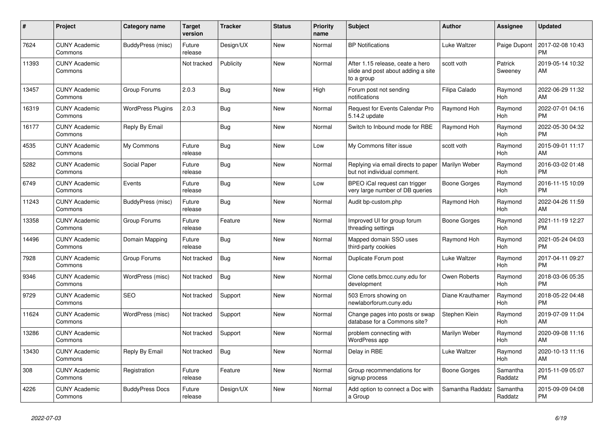| #     | Project                         | <b>Category name</b>     | <b>Target</b><br>version | <b>Tracker</b> | <b>Status</b> | <b>Priority</b><br>name | <b>Subject</b>                                                                       | <b>Author</b>    | Assignee            | <b>Updated</b>                |
|-------|---------------------------------|--------------------------|--------------------------|----------------|---------------|-------------------------|--------------------------------------------------------------------------------------|------------------|---------------------|-------------------------------|
| 7624  | <b>CUNY Academic</b><br>Commons | BuddyPress (misc)        | Future<br>release        | Design/UX      | New           | Normal                  | <b>BP</b> Notifications                                                              | Luke Waltzer     | Paige Dupont        | 2017-02-08 10:43<br><b>PM</b> |
| 11393 | <b>CUNY Academic</b><br>Commons |                          | Not tracked              | Publicity      | New           | Normal                  | After 1.15 release, ceate a hero<br>slide and post about adding a site<br>to a group | scott voth       | Patrick<br>Sweeney  | 2019-05-14 10:32<br>AM        |
| 13457 | <b>CUNY Academic</b><br>Commons | Group Forums             | 2.0.3                    | Bug            | New           | High                    | Forum post not sending<br>notifications                                              | Filipa Calado    | Raymond<br>Hoh      | 2022-06-29 11:32<br>AM        |
| 16319 | <b>CUNY Academic</b><br>Commons | <b>WordPress Plugins</b> | 2.0.3                    | Bug            | New           | Normal                  | <b>Request for Events Calendar Pro</b><br>5.14.2 update                              | Raymond Hoh      | Raymond<br>Hoh      | 2022-07-01 04:16<br><b>PM</b> |
| 16177 | <b>CUNY Academic</b><br>Commons | Reply By Email           |                          | Bug            | <b>New</b>    | Normal                  | Switch to Inbound mode for RBE                                                       | Raymond Hoh      | Raymond<br>Hoh      | 2022-05-30 04:32<br><b>PM</b> |
| 4535  | <b>CUNY Academic</b><br>Commons | My Commons               | Future<br>release        | Bug            | <b>New</b>    | Low                     | My Commons filter issue                                                              | scott voth       | Raymond<br>Hoh      | 2015-09-01 11:17<br>AM        |
| 5282  | <b>CUNY Academic</b><br>Commons | Social Paper             | Future<br>release        | Bug            | New           | Normal                  | Replying via email directs to paper<br>but not individual comment.                   | Marilyn Weber    | Raymond<br>Hoh      | 2016-03-02 01:48<br><b>PM</b> |
| 6749  | <b>CUNY Academic</b><br>Commons | Events                   | Future<br>release        | Bug            | New           | Low                     | BPEO iCal request can trigger<br>very large number of DB queries                     | Boone Gorges     | Raymond<br>Hoh      | 2016-11-15 10:09<br><b>PM</b> |
| 11243 | <b>CUNY Academic</b><br>Commons | <b>BuddyPress (misc)</b> | Future<br>release        | <b>Bug</b>     | <b>New</b>    | Normal                  | Audit bp-custom.php                                                                  | Raymond Hoh      | Raymond<br>Hoh      | 2022-04-26 11:59<br>AM        |
| 13358 | <b>CUNY Academic</b><br>Commons | Group Forums             | Future<br>release        | Feature        | New           | Normal                  | Improved UI for group forum<br>threading settings                                    | Boone Gorges     | Raymond<br>Hoh      | 2021-11-19 12:27<br><b>PM</b> |
| 14496 | <b>CUNY Academic</b><br>Commons | Domain Mapping           | Future<br>release        | Bug            | New           | Normal                  | Mapped domain SSO uses<br>third-party cookies                                        | Raymond Hoh      | Raymond<br>Hoh      | 2021-05-24 04:03<br><b>PM</b> |
| 7928  | <b>CUNY Academic</b><br>Commons | Group Forums             | Not tracked              | Bug            | <b>New</b>    | Normal                  | Duplicate Forum post                                                                 | Luke Waltzer     | Raymond<br>Hoh      | 2017-04-11 09:27<br><b>PM</b> |
| 9346  | <b>CUNY Academic</b><br>Commons | WordPress (misc)         | Not tracked              | <b>Bug</b>     | <b>New</b>    | Normal                  | Clone cetls.bmcc.cuny.edu for<br>development                                         | Owen Roberts     | Raymond<br>Hoh      | 2018-03-06 05:35<br><b>PM</b> |
| 9729  | <b>CUNY Academic</b><br>Commons | <b>SEO</b>               | Not tracked              | Support        | New           | Normal                  | 503 Errors showing on<br>newlaborforum.cuny.edu                                      | Diane Krauthamer | Raymond<br>Hoh      | 2018-05-22 04:48<br><b>PM</b> |
| 11624 | <b>CUNY Academic</b><br>Commons | WordPress (misc)         | Not tracked              | Support        | New           | Normal                  | Change pages into posts or swap<br>database for a Commons site?                      | Stephen Klein    | Raymond<br>Hoh      | 2019-07-09 11:04<br>AM        |
| 13286 | <b>CUNY Academic</b><br>Commons |                          | Not tracked              | Support        | <b>New</b>    | Normal                  | problem connecting with<br>WordPress app                                             | Marilyn Weber    | Raymond<br>Hoh      | 2020-09-08 11:16<br>AM        |
| 13430 | <b>CUNY Academic</b><br>Commons | Reply By Email           | Not tracked              | <b>Bug</b>     | New           | Normal                  | Delay in RBE                                                                         | Luke Waltzer     | Raymond<br>Hoh      | 2020-10-13 11:16<br>AM        |
| 308   | <b>CUNY Academic</b><br>Commons | Registration             | Future<br>release        | Feature        | <b>New</b>    | Normal                  | Group recommendations for<br>signup process                                          | Boone Gorges     | Samantha<br>Raddatz | 2015-11-09 05:07<br><b>PM</b> |
| 4226  | <b>CUNY Academic</b><br>Commons | <b>BuddyPress Docs</b>   | Future<br>release        | Design/UX      | <b>New</b>    | Normal                  | Add option to connect a Doc with<br>a Group                                          | Samantha Raddatz | Samantha<br>Raddatz | 2015-09-09 04:08<br><b>PM</b> |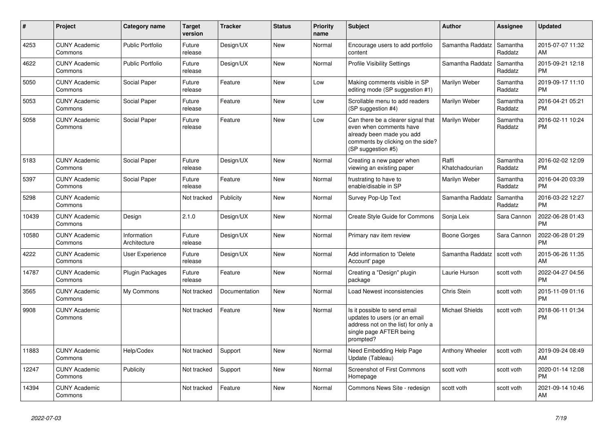| #     | <b>Project</b>                  | <b>Category name</b>        | <b>Target</b><br>version | <b>Tracker</b> | <b>Status</b> | <b>Priority</b><br>name | <b>Subject</b>                                                                                                                                        | Author                  | Assignee            | <b>Updated</b>                |
|-------|---------------------------------|-----------------------------|--------------------------|----------------|---------------|-------------------------|-------------------------------------------------------------------------------------------------------------------------------------------------------|-------------------------|---------------------|-------------------------------|
| 4253  | <b>CUNY Academic</b><br>Commons | <b>Public Portfolio</b>     | Future<br>release        | Design/UX      | <b>New</b>    | Normal                  | Encourage users to add portfolio<br>content                                                                                                           | Samantha Raddatz        | Samantha<br>Raddatz | 2015-07-07 11:32<br>AM        |
| 4622  | <b>CUNY Academic</b><br>Commons | <b>Public Portfolio</b>     | Future<br>release        | Design/UX      | <b>New</b>    | Normal                  | <b>Profile Visibility Settings</b>                                                                                                                    | Samantha Raddatz        | Samantha<br>Raddatz | 2015-09-21 12:18<br><b>PM</b> |
| 5050  | <b>CUNY Academic</b><br>Commons | Social Paper                | Future<br>release        | Feature        | New           | Low                     | Making comments visible in SP<br>editing mode (SP suggestion #1)                                                                                      | Marilyn Weber           | Samantha<br>Raddatz | 2019-09-17 11:10<br><b>PM</b> |
| 5053  | <b>CUNY Academic</b><br>Commons | Social Paper                | Future<br>release        | Feature        | <b>New</b>    | Low                     | Scrollable menu to add readers<br>(SP suggestion #4)                                                                                                  | Marilyn Weber           | Samantha<br>Raddatz | 2016-04-21 05:21<br><b>PM</b> |
| 5058  | <b>CUNY Academic</b><br>Commons | Social Paper                | Future<br>release        | Feature        | <b>New</b>    | Low                     | Can there be a clearer signal that<br>even when comments have<br>already been made you add<br>comments by clicking on the side?<br>(SP suggestion #5) | Marilyn Weber           | Samantha<br>Raddatz | 2016-02-11 10:24<br><b>PM</b> |
| 5183  | <b>CUNY Academic</b><br>Commons | Social Paper                | Future<br>release        | Design/UX      | <b>New</b>    | Normal                  | Creating a new paper when<br>viewing an existing paper                                                                                                | Raffi<br>Khatchadourian | Samantha<br>Raddatz | 2016-02-02 12:09<br><b>PM</b> |
| 5397  | <b>CUNY Academic</b><br>Commons | Social Paper                | Future<br>release        | Feature        | New           | Normal                  | frustrating to have to<br>enable/disable in SP                                                                                                        | Marilyn Weber           | Samantha<br>Raddatz | 2016-04-20 03:39<br><b>PM</b> |
| 5298  | <b>CUNY Academic</b><br>Commons |                             | Not tracked              | Publicity      | <b>New</b>    | Normal                  | Survey Pop-Up Text                                                                                                                                    | Samantha Raddatz        | Samantha<br>Raddatz | 2016-03-22 12:27<br><b>PM</b> |
| 10439 | <b>CUNY Academic</b><br>Commons | Design                      | 2.1.0                    | Design/UX      | <b>New</b>    | Normal                  | <b>Create Style Guide for Commons</b>                                                                                                                 | Sonja Leix              | Sara Cannon         | 2022-06-28 01:43<br><b>PM</b> |
| 10580 | <b>CUNY Academic</b><br>Commons | Information<br>Architecture | Future<br>release        | Design/UX      | <b>New</b>    | Normal                  | Primary nav item review                                                                                                                               | Boone Gorges            | Sara Cannon         | 2022-06-28 01:29<br><b>PM</b> |
| 4222  | <b>CUNY Academic</b><br>Commons | User Experience             | Future<br>release        | Design/UX      | <b>New</b>    | Normal                  | Add information to 'Delete<br>Account' page                                                                                                           | Samantha Raddatz        | scott voth          | 2015-06-26 11:35<br>AM        |
| 14787 | <b>CUNY Academic</b><br>Commons | Plugin Packages             | Future<br>release        | Feature        | <b>New</b>    | Normal                  | Creating a "Design" plugin<br>package                                                                                                                 | Laurie Hurson           | scott voth          | 2022-04-27 04:56<br><b>PM</b> |
| 3565  | <b>CUNY Academic</b><br>Commons | My Commons                  | Not tracked              | Documentation  | New           | Normal                  | Load Newest inconsistencies                                                                                                                           | Chris Stein             | scott voth          | 2015-11-09 01:16<br><b>PM</b> |
| 9908  | <b>CUNY Academic</b><br>Commons |                             | Not tracked              | Feature        | <b>New</b>    | Normal                  | Is it possible to send email<br>updates to users (or an email<br>address not on the list) for only a<br>single page AFTER being<br>prompted?          | Michael Shields         | scott voth          | 2018-06-11 01:34<br><b>PM</b> |
| 11883 | <b>CUNY Academic</b><br>Commons | Help/Codex                  | Not tracked              | Support        | <b>New</b>    | Normal                  | Need Embedding Help Page<br>Update (Tableau)                                                                                                          | Anthony Wheeler         | scott voth          | 2019-09-24 08:49<br>AM        |
| 12247 | <b>CUNY Academic</b><br>Commons | Publicity                   | Not tracked              | Support        | <b>New</b>    | Normal                  | <b>Screenshot of First Commons</b><br>Homepage                                                                                                        | scott voth              | scott voth          | 2020-01-14 12:08<br><b>PM</b> |
| 14394 | <b>CUNY Academic</b><br>Commons |                             | Not tracked              | Feature        | <b>New</b>    | Normal                  | Commons News Site - redesign                                                                                                                          | scott voth              | scott voth          | 2021-09-14 10:46<br>AM        |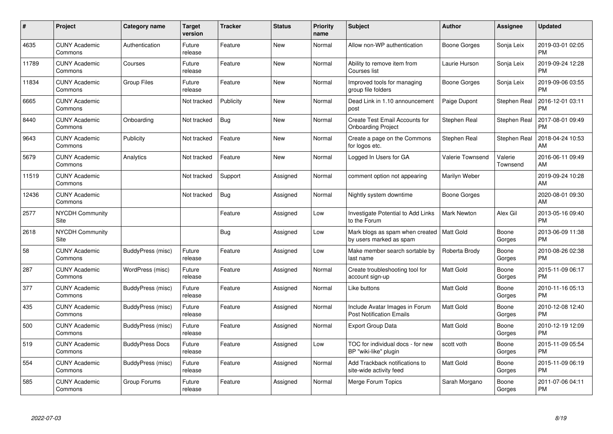| #     | Project                         | <b>Category name</b>   | Target<br>version | <b>Tracker</b> | <b>Status</b> | <b>Priority</b><br>name | <b>Subject</b>                                                    | <b>Author</b>           | <b>Assignee</b>     | <b>Updated</b>                |
|-------|---------------------------------|------------------------|-------------------|----------------|---------------|-------------------------|-------------------------------------------------------------------|-------------------------|---------------------|-------------------------------|
| 4635  | <b>CUNY Academic</b><br>Commons | Authentication         | Future<br>release | Feature        | <b>New</b>    | Normal                  | Allow non-WP authentication                                       | Boone Gorges            | Sonja Leix          | 2019-03-01 02:05<br><b>PM</b> |
| 11789 | <b>CUNY Academic</b><br>Commons | Courses                | Future<br>release | Feature        | <b>New</b>    | Normal                  | Ability to remove item from<br>Courses list                       | Laurie Hurson           | Sonja Leix          | 2019-09-24 12:28<br><b>PM</b> |
| 11834 | <b>CUNY Academic</b><br>Commons | <b>Group Files</b>     | Future<br>release | Feature        | <b>New</b>    | Normal                  | Improved tools for managing<br>group file folders                 | Boone Gorges            | Sonja Leix          | 2019-09-06 03:55<br><b>PM</b> |
| 6665  | <b>CUNY Academic</b><br>Commons |                        | Not tracked       | Publicity      | <b>New</b>    | Normal                  | Dead Link in 1.10 announcement<br>post                            | Paige Dupont            | Stephen Real        | 2016-12-01 03:11<br><b>PM</b> |
| 8440  | <b>CUNY Academic</b><br>Commons | Onboarding             | Not tracked       | <b>Bug</b>     | <b>New</b>    | Normal                  | Create Test Email Accounts for<br><b>Onboarding Project</b>       | Stephen Real            | Stephen Real        | 2017-08-01 09:49<br><b>PM</b> |
| 9643  | <b>CUNY Academic</b><br>Commons | Publicity              | Not tracked       | Feature        | New           | Normal                  | Create a page on the Commons<br>for logos etc.                    | Stephen Real            | Stephen Real        | 2018-04-24 10:53<br>AM        |
| 5679  | <b>CUNY Academic</b><br>Commons | Analytics              | Not tracked       | Feature        | <b>New</b>    | Normal                  | Logged In Users for GA                                            | <b>Valerie Townsend</b> | Valerie<br>Townsend | 2016-06-11 09:49<br>AM        |
| 11519 | <b>CUNY Academic</b><br>Commons |                        | Not tracked       | Support        | Assigned      | Normal                  | comment option not appearing                                      | Marilyn Weber           |                     | 2019-09-24 10:28<br>AM        |
| 12436 | <b>CUNY Academic</b><br>Commons |                        | Not tracked       | <b>Bug</b>     | Assigned      | Normal                  | Nightly system downtime                                           | Boone Gorges            |                     | 2020-08-01 09:30<br>AM        |
| 2577  | <b>NYCDH Community</b><br>Site  |                        |                   | Feature        | Assigned      | Low                     | Investigate Potential to Add Links<br>to the Forum                | <b>Mark Newton</b>      | Alex Gil            | 2013-05-16 09:40<br>PM        |
| 2618  | <b>NYCDH Community</b><br>Site  |                        |                   | Bug            | Assigned      | Low                     | Mark blogs as spam when created<br>by users marked as spam        | Matt Gold               | Boone<br>Gorges     | 2013-06-09 11:38<br><b>PM</b> |
| 58    | <b>CUNY Academic</b><br>Commons | BuddyPress (misc)      | Future<br>release | Feature        | Assigned      | Low                     | Make member search sortable by<br>last name                       | Roberta Brody           | Boone<br>Gorges     | 2010-08-26 02:38<br><b>PM</b> |
| 287   | <b>CUNY Academic</b><br>Commons | WordPress (misc)       | Future<br>release | Feature        | Assigned      | Normal                  | Create troubleshooting tool for<br>account sign-up                | Matt Gold               | Boone<br>Gorges     | 2015-11-09 06:17<br>PM.       |
| 377   | <b>CUNY Academic</b><br>Commons | BuddyPress (misc)      | Future<br>release | Feature        | Assigned      | Normal                  | Like buttons                                                      | <b>Matt Gold</b>        | Boone<br>Gorges     | 2010-11-16 05:13<br><b>PM</b> |
| 435   | <b>CUNY Academic</b><br>Commons | BuddyPress (misc)      | Future<br>release | Feature        | Assigned      | Normal                  | Include Avatar Images in Forum<br><b>Post Notification Emails</b> | Matt Gold               | Boone<br>Gorges     | 2010-12-08 12:40<br><b>PM</b> |
| 500   | <b>CUNY Academic</b><br>Commons | BuddyPress (misc)      | Future<br>release | Feature        | Assigned      | Normal                  | <b>Export Group Data</b>                                          | Matt Gold               | Boone<br>Gorges     | 2010-12-19 12:09<br><b>PM</b> |
| 519   | <b>CUNY Academic</b><br>Commons | <b>BuddyPress Docs</b> | Future<br>release | Feature        | Assigned      | Low                     | TOC for individual docs - for new<br>BP "wiki-like" plugin        | scott voth              | Boone<br>Gorges     | 2015-11-09 05:54<br><b>PM</b> |
| 554   | <b>CUNY Academic</b><br>Commons | BuddyPress (misc)      | Future<br>release | Feature        | Assigned      | Normal                  | Add Trackback notifications to<br>site-wide activity feed         | Matt Gold               | Boone<br>Gorges     | 2015-11-09 06:19<br><b>PM</b> |
| 585   | <b>CUNY Academic</b><br>Commons | Group Forums           | Future<br>release | Feature        | Assigned      | Normal                  | Merge Forum Topics                                                | Sarah Morgano           | Boone<br>Gorges     | 2011-07-06 04:11<br>PM        |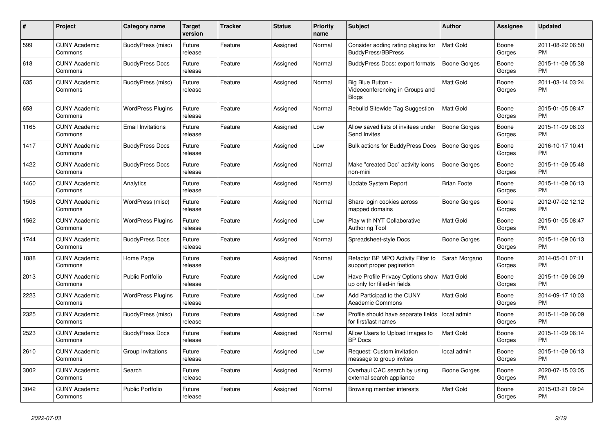| #    | Project                         | <b>Category name</b>     | Target<br>version | <b>Tracker</b> | <b>Status</b> | Priority<br>name | <b>Subject</b>                                                    | <b>Author</b>       | Assignee        | <b>Updated</b>                |
|------|---------------------------------|--------------------------|-------------------|----------------|---------------|------------------|-------------------------------------------------------------------|---------------------|-----------------|-------------------------------|
| 599  | <b>CUNY Academic</b><br>Commons | BuddyPress (misc)        | Future<br>release | Feature        | Assigned      | Normal           | Consider adding rating plugins for<br><b>BuddyPress/BBPress</b>   | <b>Matt Gold</b>    | Boone<br>Gorges | 2011-08-22 06:50<br>PM.       |
| 618  | <b>CUNY Academic</b><br>Commons | <b>BuddyPress Docs</b>   | Future<br>release | Feature        | Assigned      | Normal           | <b>BuddyPress Docs: export formats</b>                            | Boone Gorges        | Boone<br>Gorges | 2015-11-09 05:38<br><b>PM</b> |
| 635  | <b>CUNY Academic</b><br>Commons | BuddyPress (misc)        | Future<br>release | Feature        | Assigned      | Normal           | Big Blue Button -<br>Videoconferencing in Groups and<br>Blogs     | Matt Gold           | Boone<br>Gorges | 2011-03-14 03:24<br><b>PM</b> |
| 658  | <b>CUNY Academic</b><br>Commons | <b>WordPress Plugins</b> | Future<br>release | Feature        | Assigned      | Normal           | Rebulid Sitewide Tag Suggestion                                   | <b>Matt Gold</b>    | Boone<br>Gorges | 2015-01-05 08:47<br><b>PM</b> |
| 1165 | <b>CUNY Academic</b><br>Commons | <b>Email Invitations</b> | Future<br>release | Feature        | Assigned      | Low              | Allow saved lists of invitees under<br>Send Invites               | <b>Boone Gorges</b> | Boone<br>Gorges | 2015-11-09 06:03<br><b>PM</b> |
| 1417 | <b>CUNY Academic</b><br>Commons | <b>BuddyPress Docs</b>   | Future<br>release | Feature        | Assigned      | Low              | <b>Bulk actions for BuddyPress Docs</b>                           | <b>Boone Gorges</b> | Boone<br>Gorges | 2016-10-17 10:41<br>PM        |
| 1422 | <b>CUNY Academic</b><br>Commons | <b>BuddyPress Docs</b>   | Future<br>release | Feature        | Assigned      | Normal           | Make "created Doc" activity icons<br>non-mini                     | Boone Gorges        | Boone<br>Gorges | 2015-11-09 05:48<br><b>PM</b> |
| 1460 | <b>CUNY Academic</b><br>Commons | Analytics                | Future<br>release | Feature        | Assigned      | Normal           | Update System Report                                              | <b>Brian Foote</b>  | Boone<br>Gorges | 2015-11-09 06:13<br><b>PM</b> |
| 1508 | <b>CUNY Academic</b><br>Commons | WordPress (misc)         | Future<br>release | Feature        | Assigned      | Normal           | Share login cookies across<br>mapped domains                      | Boone Gorges        | Boone<br>Gorges | 2012-07-02 12:12<br><b>PM</b> |
| 1562 | <b>CUNY Academic</b><br>Commons | <b>WordPress Plugins</b> | Future<br>release | Feature        | Assigned      | Low              | Play with NYT Collaborative<br>Authoring Tool                     | Matt Gold           | Boone<br>Gorges | 2015-01-05 08:47<br><b>PM</b> |
| 1744 | <b>CUNY Academic</b><br>Commons | <b>BuddyPress Docs</b>   | Future<br>release | Feature        | Assigned      | Normal           | Spreadsheet-style Docs                                            | Boone Gorges        | Boone<br>Gorges | 2015-11-09 06:13<br><b>PM</b> |
| 1888 | <b>CUNY Academic</b><br>Commons | Home Page                | Future<br>release | Feature        | Assigned      | Normal           | Refactor BP MPO Activity Filter to<br>support proper pagination   | Sarah Morgano       | Boone<br>Gorges | 2014-05-01 07:11<br><b>PM</b> |
| 2013 | <b>CUNY Academic</b><br>Commons | Public Portfolio         | Future<br>release | Feature        | Assigned      | Low              | Have Profile Privacy Options show<br>up only for filled-in fields | <b>Matt Gold</b>    | Boone<br>Gorges | 2015-11-09 06:09<br><b>PM</b> |
| 2223 | <b>CUNY Academic</b><br>Commons | <b>WordPress Plugins</b> | Future<br>release | Feature        | Assigned      | Low              | Add Participad to the CUNY<br><b>Academic Commons</b>             | Matt Gold           | Boone<br>Gorges | 2014-09-17 10:03<br><b>PM</b> |
| 2325 | <b>CUNY Academic</b><br>Commons | BuddyPress (misc)        | Future<br>release | Feature        | Assigned      | Low              | Profile should have separate fields<br>for first/last names       | local admin         | Boone<br>Gorges | 2015-11-09 06:09<br>PM.       |
| 2523 | <b>CUNY Academic</b><br>Commons | <b>BuddyPress Docs</b>   | Future<br>release | Feature        | Assigned      | Normal           | Allow Users to Upload Images to<br><b>BP</b> Docs                 | Matt Gold           | Boone<br>Gorges | 2015-11-09 06:14<br><b>PM</b> |
| 2610 | <b>CUNY Academic</b><br>Commons | Group Invitations        | Future<br>release | Feature        | Assigned      | Low              | Request: Custom invitation<br>message to group invites            | local admin         | Boone<br>Gorges | 2015-11-09 06:13<br><b>PM</b> |
| 3002 | <b>CUNY Academic</b><br>Commons | Search                   | Future<br>release | Feature        | Assigned      | Normal           | Overhaul CAC search by using<br>external search appliance         | Boone Gorges        | Boone<br>Gorges | 2020-07-15 03:05<br><b>PM</b> |
| 3042 | <b>CUNY Academic</b><br>Commons | Public Portfolio         | Future<br>release | Feature        | Assigned      | Normal           | Browsing member interests                                         | Matt Gold           | Boone<br>Gorges | 2015-03-21 09:04<br><b>PM</b> |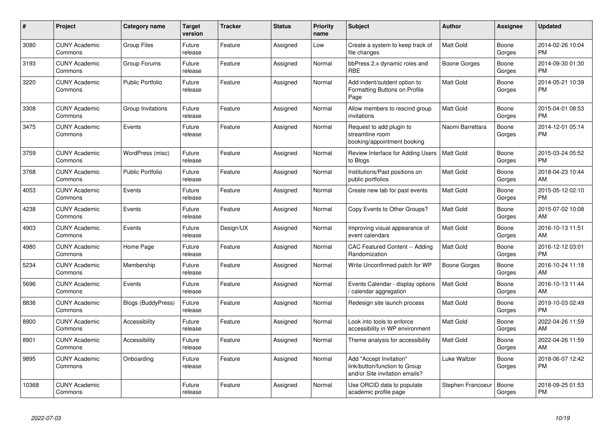| #     | Project                         | <b>Category name</b>      | <b>Target</b><br>version | <b>Tracker</b> | <b>Status</b> | <b>Priority</b><br>name | <b>Subject</b>                                                                             | <b>Author</b>     | <b>Assignee</b> | <b>Updated</b>                |
|-------|---------------------------------|---------------------------|--------------------------|----------------|---------------|-------------------------|--------------------------------------------------------------------------------------------|-------------------|-----------------|-------------------------------|
| 3080  | <b>CUNY Academic</b><br>Commons | <b>Group Files</b>        | Future<br>release        | Feature        | Assigned      | Low                     | Create a system to keep track of<br>file changes                                           | <b>Matt Gold</b>  | Boone<br>Gorges | 2014-02-26 10:04<br><b>PM</b> |
| 3193  | <b>CUNY Academic</b><br>Commons | Group Forums              | Future<br>release        | Feature        | Assigned      | Normal                  | bbPress 2.x dynamic roles and<br><b>RBE</b>                                                | Boone Gorges      | Boone<br>Gorges | 2014-09-30 01:30<br><b>PM</b> |
| 3220  | <b>CUNY Academic</b><br>Commons | <b>Public Portfolio</b>   | Future<br>release        | Feature        | Assigned      | Normal                  | Add indent/outdent option to<br>Formatting Buttons on Profile<br>Page                      | <b>Matt Gold</b>  | Boone<br>Gorges | 2014-05-21 10:39<br><b>PM</b> |
| 3308  | <b>CUNY Academic</b><br>Commons | Group Invitations         | Future<br>release        | Feature        | Assigned      | Normal                  | Allow members to rescind group<br>invitations                                              | <b>Matt Gold</b>  | Boone<br>Gorges | 2015-04-01 08:53<br><b>PM</b> |
| 3475  | <b>CUNY Academic</b><br>Commons | Events                    | Future<br>release        | Feature        | Assigned      | Normal                  | Request to add plugin to<br>streamline room<br>booking/appointment booking                 | Naomi Barrettara  | Boone<br>Gorges | 2014-12-01 05:14<br><b>PM</b> |
| 3759  | <b>CUNY Academic</b><br>Commons | WordPress (misc)          | Future<br>release        | Feature        | Assigned      | Normal                  | Review Interface for Adding Users<br>to Blogs                                              | <b>Matt Gold</b>  | Boone<br>Gorges | 2015-03-24 05:52<br><b>PM</b> |
| 3768  | <b>CUNY Academic</b><br>Commons | <b>Public Portfolio</b>   | Future<br>release        | Feature        | Assigned      | Normal                  | Institutions/Past positions on<br>public portfolios                                        | <b>Matt Gold</b>  | Boone<br>Gorges | 2018-04-23 10:44<br>AM        |
| 4053  | <b>CUNY Academic</b><br>Commons | Events                    | Future<br>release        | Feature        | Assigned      | Normal                  | Create new tab for past events                                                             | <b>Matt Gold</b>  | Boone<br>Gorges | 2015-05-12 02:10<br><b>PM</b> |
| 4238  | <b>CUNY Academic</b><br>Commons | Events                    | Future<br>release        | Feature        | Assigned      | Normal                  | Copy Events to Other Groups?                                                               | <b>Matt Gold</b>  | Boone<br>Gorges | 2015-07-02 10:08<br>AM        |
| 4903  | <b>CUNY Academic</b><br>Commons | Events                    | Future<br>release        | Design/UX      | Assigned      | Normal                  | Improving visual appearance of<br>event calendars                                          | <b>Matt Gold</b>  | Boone<br>Gorges | 2016-10-13 11:51<br>AM        |
| 4980  | <b>CUNY Academic</b><br>Commons | Home Page                 | Future<br>release        | Feature        | Assigned      | Normal                  | CAC Featured Content -- Adding<br>Randomization                                            | <b>Matt Gold</b>  | Boone<br>Gorges | 2016-12-12 03:01<br><b>PM</b> |
| 5234  | <b>CUNY Academic</b><br>Commons | Membership                | Future<br>release        | Feature        | Assigned      | Normal                  | Write Unconfirmed patch for WP                                                             | Boone Gorges      | Boone<br>Gorges | 2016-10-24 11:18<br>AM        |
| 5696  | <b>CUNY Academic</b><br>Commons | Events                    | Future<br>release        | Feature        | Assigned      | Normal                  | Events Calendar - display options<br>/ calendar aggregation                                | Matt Gold         | Boone<br>Gorges | 2016-10-13 11:44<br>AM        |
| 8836  | <b>CUNY Academic</b><br>Commons | <b>Blogs (BuddyPress)</b> | Future<br>release        | Feature        | Assigned      | Normal                  | Redesign site launch process                                                               | <b>Matt Gold</b>  | Boone<br>Gorges | 2019-10-03 02:49<br><b>PM</b> |
| 8900  | <b>CUNY Academic</b><br>Commons | Accessibility             | Future<br>release        | Feature        | Assigned      | Normal                  | Look into tools to enforce<br>accessibility in WP environment                              | <b>Matt Gold</b>  | Boone<br>Gorges | 2022-04-26 11:59<br>AM        |
| 8901  | <b>CUNY Academic</b><br>Commons | Accessibility             | Future<br>release        | Feature        | Assigned      | Normal                  | Theme analysis for accessibility                                                           | <b>Matt Gold</b>  | Boone<br>Gorges | 2022-04-26 11:59<br>AM        |
| 9895  | <b>CUNY Academic</b><br>Commons | Onboarding                | Future<br>release        | Feature        | Assigned      | Normal                  | Add "Accept Invitation"<br>link/button/function to Group<br>and/or Site invitation emails? | Luke Waltzer      | Boone<br>Gorges | 2018-06-07 12:42<br><b>PM</b> |
| 10368 | <b>CUNY Academic</b><br>Commons |                           | Future<br>release        | Feature        | Assigned      | Normal                  | Use ORCID data to populate<br>academic profile page                                        | Stephen Francoeur | Boone<br>Gorges | 2018-09-25 01:53<br><b>PM</b> |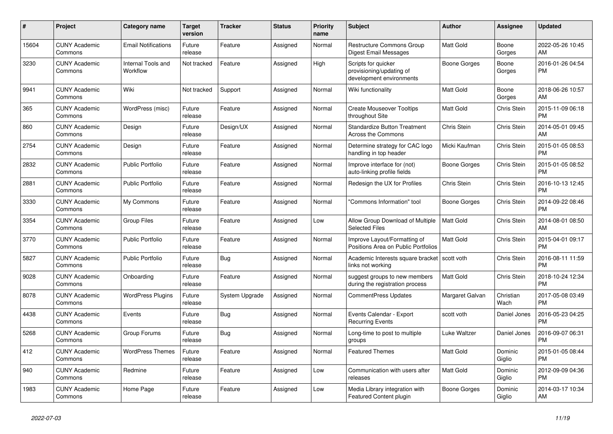| #     | <b>Project</b>                  | Category name                  | <b>Target</b><br>version | <b>Tracker</b> | <b>Status</b> | <b>Priority</b><br>name | <b>Subject</b>                                                              | <b>Author</b>    | <b>Assignee</b>    | <b>Updated</b>                |
|-------|---------------------------------|--------------------------------|--------------------------|----------------|---------------|-------------------------|-----------------------------------------------------------------------------|------------------|--------------------|-------------------------------|
| 15604 | <b>CUNY Academic</b><br>Commons | <b>Email Notifications</b>     | Future<br>release        | Feature        | Assigned      | Normal                  | <b>Restructure Commons Group</b><br>Digest Email Messages                   | <b>Matt Gold</b> | Boone<br>Gorges    | 2022-05-26 10:45<br>AM        |
| 3230  | <b>CUNY Academic</b><br>Commons | Internal Tools and<br>Workflow | Not tracked              | Feature        | Assigned      | High                    | Scripts for quicker<br>provisioning/updating of<br>development environments | Boone Gorges     | Boone<br>Gorges    | 2016-01-26 04:54<br><b>PM</b> |
| 9941  | <b>CUNY Academic</b><br>Commons | Wiki                           | Not tracked              | Support        | Assigned      | Normal                  | Wiki functionality                                                          | <b>Matt Gold</b> | Boone<br>Gorges    | 2018-06-26 10:57<br>AM        |
| 365   | <b>CUNY Academic</b><br>Commons | WordPress (misc)               | Future<br>release        | Feature        | Assigned      | Normal                  | <b>Create Mouseover Tooltips</b><br>throughout Site                         | <b>Matt Gold</b> | Chris Stein        | 2015-11-09 06:18<br><b>PM</b> |
| 860   | <b>CUNY Academic</b><br>Commons | Design                         | Future<br>release        | Design/UX      | Assigned      | Normal                  | <b>Standardize Button Treatment</b><br><b>Across the Commons</b>            | Chris Stein      | <b>Chris Stein</b> | 2014-05-01 09:45<br>AM        |
| 2754  | <b>CUNY Academic</b><br>Commons | Design                         | Future<br>release        | Feature        | Assigned      | Normal                  | Determine strategy for CAC logo<br>handling in top header                   | Micki Kaufman    | Chris Stein        | 2015-01-05 08:53<br><b>PM</b> |
| 2832  | <b>CUNY Academic</b><br>Commons | Public Portfolio               | Future<br>release        | Feature        | Assigned      | Normal                  | Improve interface for (not)<br>auto-linking profile fields                  | Boone Gorges     | Chris Stein        | 2015-01-05 08:52<br><b>PM</b> |
| 2881  | <b>CUNY Academic</b><br>Commons | <b>Public Portfolio</b>        | Future<br>release        | Feature        | Assigned      | Normal                  | Redesign the UX for Profiles                                                | Chris Stein      | Chris Stein        | 2016-10-13 12:45<br><b>PM</b> |
| 3330  | <b>CUNY Academic</b><br>Commons | My Commons                     | Future<br>release        | Feature        | Assigned      | Normal                  | "Commons Information" tool                                                  | Boone Gorges     | Chris Stein        | 2014-09-22 08:46<br><b>PM</b> |
| 3354  | <b>CUNY Academic</b><br>Commons | <b>Group Files</b>             | Future<br>release        | Feature        | Assigned      | Low                     | Allow Group Download of Multiple<br><b>Selected Files</b>                   | <b>Matt Gold</b> | <b>Chris Stein</b> | 2014-08-01 08:50<br>AM        |
| 3770  | <b>CUNY Academic</b><br>Commons | <b>Public Portfolio</b>        | Future<br>release        | Feature        | Assigned      | Normal                  | Improve Layout/Formatting of<br>Positions Area on Public Portfolios         | <b>Matt Gold</b> | Chris Stein        | 2015-04-01 09:17<br><b>PM</b> |
| 5827  | <b>CUNY Academic</b><br>Commons | <b>Public Portfolio</b>        | Future<br>release        | Bug            | Assigned      | Normal                  | Academic Interests square bracket<br>links not working                      | scott voth       | Chris Stein        | 2016-08-11 11:59<br><b>PM</b> |
| 9028  | <b>CUNY Academic</b><br>Commons | Onboarding                     | Future<br>release        | Feature        | Assigned      | Normal                  | suggest groups to new members<br>during the registration process            | <b>Matt Gold</b> | Chris Stein        | 2018-10-24 12:34<br><b>PM</b> |
| 8078  | <b>CUNY Academic</b><br>Commons | <b>WordPress Plugins</b>       | Future<br>release        | System Upgrade | Assigned      | Normal                  | <b>CommentPress Updates</b>                                                 | Margaret Galvan  | Christian<br>Wach  | 2017-05-08 03:49<br><b>PM</b> |
| 4438  | <b>CUNY Academic</b><br>Commons | Events                         | Future<br>release        | <b>Bug</b>     | Assigned      | Normal                  | Events Calendar - Export<br><b>Recurring Events</b>                         | scott voth       | Daniel Jones       | 2016-05-23 04:25<br><b>PM</b> |
| 5268  | <b>CUNY Academic</b><br>Commons | Group Forums                   | Future<br>release        | <b>Bug</b>     | Assigned      | Normal                  | Long-time to post to multiple<br>groups                                     | Luke Waltzer     | Daniel Jones       | 2016-09-07 06:31<br><b>PM</b> |
| 412   | <b>CUNY Academic</b><br>Commons | <b>WordPress Themes</b>        | Future<br>release        | Feature        | Assigned      | Normal                  | <b>Featured Themes</b>                                                      | <b>Matt Gold</b> | Dominic<br>Giglio  | 2015-01-05 08:44<br><b>PM</b> |
| 940   | <b>CUNY Academic</b><br>Commons | Redmine                        | Future<br>release        | Feature        | Assigned      | Low                     | Communication with users after<br>releases                                  | <b>Matt Gold</b> | Dominic<br>Giglio  | 2012-09-09 04:36<br><b>PM</b> |
| 1983  | <b>CUNY Academic</b><br>Commons | Home Page                      | Future<br>release        | Feature        | Assigned      | Low                     | Media Library integration with<br>Featured Content plugin                   | Boone Gorges     | Dominic<br>Giglio  | 2014-03-17 10:34<br>AM        |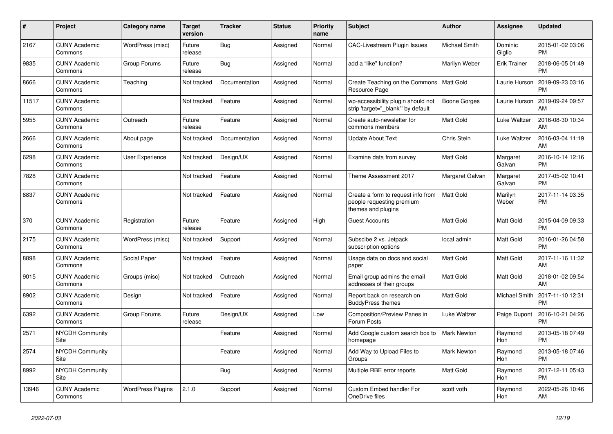| $\pmb{\#}$ | <b>Project</b>                  | <b>Category name</b>     | <b>Target</b><br>version | <b>Tracker</b> | <b>Status</b> | Priority<br>name | <b>Subject</b>                                                                        | <b>Author</b>      | Assignee           | <b>Updated</b>                |
|------------|---------------------------------|--------------------------|--------------------------|----------------|---------------|------------------|---------------------------------------------------------------------------------------|--------------------|--------------------|-------------------------------|
| 2167       | <b>CUNY Academic</b><br>Commons | WordPress (misc)         | Future<br>release        | <b>Bug</b>     | Assigned      | Normal           | <b>CAC-Livestream Plugin Issues</b>                                                   | Michael Smith      | Dominic<br>Giglio  | 2015-01-02 03:06<br><b>PM</b> |
| 9835       | <b>CUNY Academic</b><br>Commons | Group Forums             | Future<br>release        | <b>Bug</b>     | Assigned      | Normal           | add a "like" function?                                                                | Marilyn Weber      | Erik Trainer       | 2018-06-05 01:49<br><b>PM</b> |
| 8666       | <b>CUNY Academic</b><br>Commons | Teaching                 | Not tracked              | Documentation  | Assigned      | Normal           | Create Teaching on the Commons<br>Resource Page                                       | <b>Matt Gold</b>   | Laurie Hurson      | 2019-09-23 03:16<br><b>PM</b> |
| 11517      | <b>CUNY Academic</b><br>Commons |                          | Not tracked              | Feature        | Assigned      | Normal           | wp-accessibility plugin should not<br>strip 'target="_blank"' by default              | Boone Gorges       | Laurie Hurson      | 2019-09-24 09:57<br>AM        |
| 5955       | <b>CUNY Academic</b><br>Commons | Outreach                 | Future<br>release        | Feature        | Assigned      | Normal           | Create auto-newsletter for<br>commons members                                         | Matt Gold          | Luke Waltzer       | 2016-08-30 10:34<br>AM        |
| 2666       | <b>CUNY Academic</b><br>Commons | About page               | Not tracked              | Documentation  | Assigned      | Normal           | <b>Update About Text</b>                                                              | Chris Stein        | Luke Waltzer       | 2016-03-04 11:19<br>AM        |
| 6298       | <b>CUNY Academic</b><br>Commons | <b>User Experience</b>   | Not tracked              | Design/UX      | Assigned      | Normal           | Examine data from survey                                                              | <b>Matt Gold</b>   | Margaret<br>Galvan | 2016-10-14 12:16<br><b>PM</b> |
| 7828       | <b>CUNY Academic</b><br>Commons |                          | Not tracked              | Feature        | Assigned      | Normal           | Theme Assessment 2017                                                                 | Margaret Galvan    | Margaret<br>Galvan | 2017-05-02 10:41<br><b>PM</b> |
| 8837       | <b>CUNY Academic</b><br>Commons |                          | Not tracked              | Feature        | Assigned      | Normal           | Create a form to request info from<br>people requesting premium<br>themes and plugins | <b>Matt Gold</b>   | Marilyn<br>Weber   | 2017-11-14 03:35<br><b>PM</b> |
| 370        | <b>CUNY Academic</b><br>Commons | Registration             | Future<br>release        | Feature        | Assigned      | High             | <b>Guest Accounts</b>                                                                 | <b>Matt Gold</b>   | Matt Gold          | 2015-04-09 09:33<br><b>PM</b> |
| 2175       | <b>CUNY Academic</b><br>Commons | WordPress (misc)         | Not tracked              | Support        | Assigned      | Normal           | Subscibe 2 vs. Jetpack<br>subscription options                                        | local admin        | Matt Gold          | 2016-01-26 04:58<br><b>PM</b> |
| 8898       | <b>CUNY Academic</b><br>Commons | Social Paper             | Not tracked              | Feature        | Assigned      | Normal           | Usage data on docs and social<br>paper                                                | <b>Matt Gold</b>   | Matt Gold          | 2017-11-16 11:32<br>AM        |
| 9015       | <b>CUNY Academic</b><br>Commons | Groups (misc)            | Not tracked              | Outreach       | Assigned      | Normal           | Email group admins the email<br>addresses of their groups                             | Matt Gold          | Matt Gold          | 2018-01-02 09:54<br>AM        |
| 8902       | <b>CUNY Academic</b><br>Commons | Design                   | Not tracked              | Feature        | Assigned      | Normal           | Report back on research on<br><b>BuddyPress themes</b>                                | Matt Gold          | Michael Smith      | 2017-11-10 12:31<br><b>PM</b> |
| 6392       | <b>CUNY Academic</b><br>Commons | Group Forums             | Future<br>release        | Design/UX      | Assigned      | Low              | Composition/Preview Panes in<br>Forum Posts                                           | Luke Waltzer       | Paige Dupont       | 2016-10-21 04:26<br><b>PM</b> |
| 2571       | <b>NYCDH Community</b><br>Site  |                          |                          | Feature        | Assigned      | Normal           | Add Google custom search box to<br>homepage                                           | Mark Newton        | Raymond<br>Hoh     | 2013-05-18 07:49<br><b>PM</b> |
| 2574       | <b>NYCDH Community</b><br>Site  |                          |                          | Feature        | Assigned      | Normal           | Add Way to Upload Files to<br>Groups                                                  | <b>Mark Newton</b> | Raymond<br>Hoh     | 2013-05-18 07:46<br><b>PM</b> |
| 8992       | <b>NYCDH Community</b><br>Site  |                          |                          | <b>Bug</b>     | Assigned      | Normal           | Multiple RBE error reports                                                            | Matt Gold          | Raymond<br>Hoh     | 2017-12-11 05:43<br><b>PM</b> |
| 13946      | <b>CUNY Academic</b><br>Commons | <b>WordPress Plugins</b> | 2.1.0                    | Support        | Assigned      | Normal           | <b>Custom Embed handler For</b><br>OneDrive files                                     | scott voth         | Raymond<br>Hoh     | 2022-05-26 10:46<br>AM        |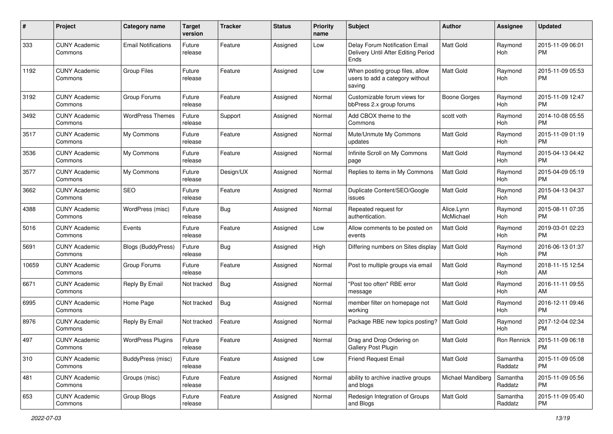| #     | Project                         | <b>Category name</b>       | <b>Target</b><br>version | Tracker   | <b>Status</b> | <b>Priority</b><br>name | <b>Subject</b>                                                                | Author                  | Assignee            | <b>Updated</b>                |
|-------|---------------------------------|----------------------------|--------------------------|-----------|---------------|-------------------------|-------------------------------------------------------------------------------|-------------------------|---------------------|-------------------------------|
| 333   | <b>CUNY Academic</b><br>Commons | <b>Email Notifications</b> | Future<br>release        | Feature   | Assigned      | Low                     | Delay Forum Notification Email<br>Delivery Until After Editing Period<br>Ends | <b>Matt Gold</b>        | Raymond<br>Hoh      | 2015-11-09 06:01<br><b>PM</b> |
| 1192  | <b>CUNY Academic</b><br>Commons | <b>Group Files</b>         | Future<br>release        | Feature   | Assigned      | Low                     | When posting group files, allow<br>users to add a category without<br>saving  | <b>Matt Gold</b>        | Raymond<br>Hoh      | 2015-11-09 05:53<br><b>PM</b> |
| 3192  | <b>CUNY Academic</b><br>Commons | Group Forums               | Future<br>release        | Feature   | Assigned      | Normal                  | Customizable forum views for<br>bbPress 2.x group forums                      | <b>Boone Gorges</b>     | Raymond<br>Hoh      | 2015-11-09 12:47<br><b>PM</b> |
| 3492  | <b>CUNY Academic</b><br>Commons | <b>WordPress Themes</b>    | Future<br>release        | Support   | Assigned      | Normal                  | Add CBOX theme to the<br>Commons                                              | scott voth              | Raymond<br>Hoh      | 2014-10-08 05:55<br><b>PM</b> |
| 3517  | <b>CUNY Academic</b><br>Commons | My Commons                 | Future<br>release        | Feature   | Assigned      | Normal                  | Mute/Unmute My Commons<br>updates                                             | Matt Gold               | Raymond<br>Hoh      | 2015-11-09 01:19<br><b>PM</b> |
| 3536  | <b>CUNY Academic</b><br>Commons | My Commons                 | Future<br>release        | Feature   | Assigned      | Normal                  | Infinite Scroll on My Commons<br>page                                         | <b>Matt Gold</b>        | Raymond<br>Hoh      | 2015-04-13 04:42<br><b>PM</b> |
| 3577  | <b>CUNY Academic</b><br>Commons | My Commons                 | Future<br>release        | Design/UX | Assigned      | Normal                  | Replies to items in My Commons                                                | Matt Gold               | Raymond<br>Hoh      | 2015-04-09 05:19<br><b>PM</b> |
| 3662  | <b>CUNY Academic</b><br>Commons | <b>SEO</b>                 | Future<br>release        | Feature   | Assigned      | Normal                  | Duplicate Content/SEO/Google<br>issues                                        | Matt Gold               | Raymond<br>Hoh      | 2015-04-13 04:37<br><b>PM</b> |
| 4388  | <b>CUNY Academic</b><br>Commons | WordPress (misc)           | Future<br>release        | Bug       | Assigned      | Normal                  | Repeated request for<br>authentication.                                       | Alice.Lynn<br>McMichael | Raymond<br>Hoh      | 2015-08-11 07:35<br><b>PM</b> |
| 5016  | <b>CUNY Academic</b><br>Commons | Events                     | Future<br>release        | Feature   | Assigned      | Low                     | Allow comments to be posted on<br>events                                      | <b>Matt Gold</b>        | Raymond<br>Hoh      | 2019-03-01 02:23<br><b>PM</b> |
| 5691  | <b>CUNY Academic</b><br>Commons | <b>Blogs (BuddyPress)</b>  | Future<br>release        | Bug       | Assigned      | High                    | Differing numbers on Sites display                                            | <b>Matt Gold</b>        | Raymond<br>Hoh      | 2016-06-13 01:37<br><b>PM</b> |
| 10659 | <b>CUNY Academic</b><br>Commons | Group Forums               | Future<br>release        | Feature   | Assigned      | Normal                  | Post to multiple groups via email                                             | Matt Gold               | Raymond<br>Hoh      | 2018-11-15 12:54<br>AM        |
| 6671  | <b>CUNY Academic</b><br>Commons | Reply By Email             | Not tracked              | Bug       | Assigned      | Normal                  | "Post too often" RBE error<br>message                                         | <b>Matt Gold</b>        | Raymond<br>Hoh      | 2016-11-11 09:55<br>AM        |
| 6995  | <b>CUNY Academic</b><br>Commons | Home Page                  | Not tracked              | Bug       | Assigned      | Normal                  | member filter on homepage not<br>working                                      | Matt Gold               | Raymond<br>Hoh      | 2016-12-11 09:46<br><b>PM</b> |
| 8976  | <b>CUNY Academic</b><br>Commons | Reply By Email             | Not tracked              | Feature   | Assigned      | Normal                  | Package RBE new topics posting?   Matt Gold                                   |                         | Raymond<br>Hoh      | 2017-12-04 02:34<br><b>PM</b> |
| 497   | <b>CUNY Academic</b><br>Commons | <b>WordPress Plugins</b>   | Future<br>release        | Feature   | Assigned      | Normal                  | Drag and Drop Ordering on<br>Gallery Post Plugin                              | Matt Gold               | Ron Rennick         | 2015-11-09 06:18<br>PM        |
| 310   | <b>CUNY Academic</b><br>Commons | BuddyPress (misc)          | Future<br>release        | Feature   | Assigned      | Low                     | <b>Friend Request Email</b>                                                   | Matt Gold               | Samantha<br>Raddatz | 2015-11-09 05:08<br><b>PM</b> |
| 481   | <b>CUNY Academic</b><br>Commons | Groups (misc)              | Future<br>release        | Feature   | Assigned      | Normal                  | ability to archive inactive groups<br>and blogs                               | Michael Mandiberg       | Samantha<br>Raddatz | 2015-11-09 05:56<br><b>PM</b> |
| 653   | <b>CUNY Academic</b><br>Commons | Group Blogs                | Future<br>release        | Feature   | Assigned      | Normal                  | Redesign Integration of Groups<br>and Blogs                                   | Matt Gold               | Samantha<br>Raddatz | 2015-11-09 05:40<br><b>PM</b> |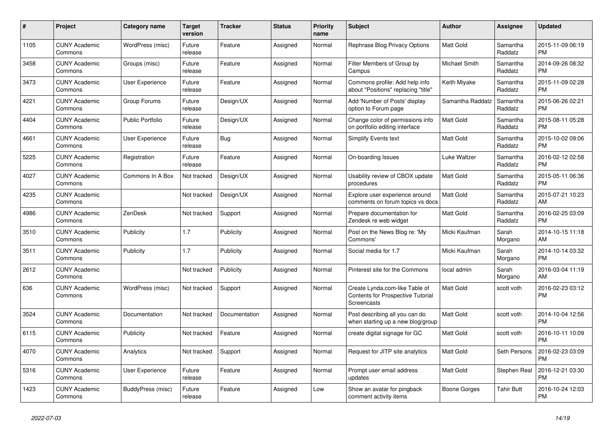| #    | Project                         | Category name           | <b>Target</b><br>version | Tracker       | <b>Status</b> | <b>Priority</b><br>name | <b>Subject</b>                                                                            | <b>Author</b>    | Assignee            | <b>Updated</b>                |
|------|---------------------------------|-------------------------|--------------------------|---------------|---------------|-------------------------|-------------------------------------------------------------------------------------------|------------------|---------------------|-------------------------------|
| 1105 | <b>CUNY Academic</b><br>Commons | WordPress (misc)        | Future<br>release        | Feature       | Assigned      | Normal                  | Rephrase Blog Privacy Options                                                             | <b>Matt Gold</b> | Samantha<br>Raddatz | 2015-11-09 06:19<br><b>PM</b> |
| 3458 | <b>CUNY Academic</b><br>Commons | Groups (misc)           | Future<br>release        | Feature       | Assigned      | Normal                  | Filter Members of Group by<br>Campus                                                      | Michael Smith    | Samantha<br>Raddatz | 2014-09-26 08:32<br><b>PM</b> |
| 3473 | <b>CUNY Academic</b><br>Commons | <b>User Experience</b>  | Future<br>release        | Feature       | Assigned      | Normal                  | Commons profile: Add help info<br>about "Positions" replacing "title"                     | Keith Miyake     | Samantha<br>Raddatz | 2015-11-09 02:28<br><b>PM</b> |
| 4221 | <b>CUNY Academic</b><br>Commons | Group Forums            | Future<br>release        | Design/UX     | Assigned      | Normal                  | Add 'Number of Posts' display<br>option to Forum page                                     | Samantha Raddatz | Samantha<br>Raddatz | 2015-06-26 02:21<br><b>PM</b> |
| 4404 | <b>CUNY Academic</b><br>Commons | <b>Public Portfolio</b> | Future<br>release        | Design/UX     | Assigned      | Normal                  | Change color of permissions info<br>on portfolio editing interface                        | Matt Gold        | Samantha<br>Raddatz | 2015-08-11 05:28<br><b>PM</b> |
| 4661 | <b>CUNY Academic</b><br>Commons | <b>User Experience</b>  | Future<br>release        | Bug           | Assigned      | Normal                  | <b>Simplify Events text</b>                                                               | Matt Gold        | Samantha<br>Raddatz | 2015-10-02 09:06<br><b>PM</b> |
| 5225 | <b>CUNY Academic</b><br>Commons | Registration            | Future<br>release        | Feature       | Assigned      | Normal                  | On-boarding Issues                                                                        | Luke Waltzer     | Samantha<br>Raddatz | 2016-02-12 02:58<br><b>PM</b> |
| 4027 | <b>CUNY Academic</b><br>Commons | Commons In A Box        | Not tracked              | Design/UX     | Assigned      | Normal                  | Usability review of CBOX update<br>procedures                                             | <b>Matt Gold</b> | Samantha<br>Raddatz | 2015-05-11 06:36<br><b>PM</b> |
| 4235 | <b>CUNY Academic</b><br>Commons |                         | Not tracked              | Design/UX     | Assigned      | Normal                  | Explore user experience around<br>comments on forum topics vs docs                        | Matt Gold        | Samantha<br>Raddatz | 2015-07-21 10:23<br>AM        |
| 4986 | <b>CUNY Academic</b><br>Commons | ZenDesk                 | Not tracked              | Support       | Assigned      | Normal                  | Prepare documentation for<br>Zendesk re web widget                                        | <b>Matt Gold</b> | Samantha<br>Raddatz | 2016-02-25 03:09<br><b>PM</b> |
| 3510 | <b>CUNY Academic</b><br>Commons | Publicity               | 1.7                      | Publicity     | Assigned      | Normal                  | Post on the News Blog re: 'My<br>Commons'                                                 | Micki Kaufman    | Sarah<br>Morgano    | 2014-10-15 11:18<br>AM        |
| 3511 | <b>CUNY Academic</b><br>Commons | Publicity               | 1.7                      | Publicity     | Assigned      | Normal                  | Social media for 1.7                                                                      | Micki Kaufman    | Sarah<br>Morgano    | 2014-10-14 03:32<br><b>PM</b> |
| 2612 | <b>CUNY Academic</b><br>Commons |                         | Not tracked              | Publicity     | Assigned      | Normal                  | Pinterest site for the Commons                                                            | local admin      | Sarah<br>Morgano    | 2016-03-04 11:19<br>AM        |
| 636  | <b>CUNY Academic</b><br>Commons | WordPress (misc)        | Not tracked              | Support       | Assigned      | Normal                  | Create Lynda.com-like Table of<br><b>Contents for Prospective Tutorial</b><br>Screencasts | <b>Matt Gold</b> | scott voth          | 2016-02-23 03:12<br><b>PM</b> |
| 3524 | <b>CUNY Academic</b><br>Commons | Documentation           | Not tracked              | Documentation | Assigned      | Normal                  | Post describing all you can do<br>when starting up a new blog/group                       | Matt Gold        | scott voth          | 2014-10-04 12:56<br><b>PM</b> |
| 6115 | <b>CUNY Academic</b><br>Commons | Publicity               | Not tracked              | Feature       | Assigned      | Normal                  | create digital signage for GC                                                             | Matt Gold        | scott voth          | 2016-10-11 10:09<br><b>PM</b> |
| 4070 | <b>CUNY Academic</b><br>Commons | Analytics               | Not tracked              | Support       | Assigned      | Normal                  | Request for JITP site analytics                                                           | <b>Matt Gold</b> | Seth Persons        | 2016-02-23 03:09<br><b>PM</b> |
| 5316 | <b>CUNY Academic</b><br>Commons | <b>User Experience</b>  | Future<br>release        | Feature       | Assigned      | Normal                  | Prompt user email address<br>updates                                                      | <b>Matt Gold</b> | Stephen Real        | 2016-12-21 03:30<br><b>PM</b> |
| 1423 | <b>CUNY Academic</b><br>Commons | BuddyPress (misc)       | Future<br>release        | Feature       | Assigned      | Low                     | Show an avatar for pingback<br>comment activity items                                     | Boone Gorges     | Tahir Butt          | 2016-10-24 12:03<br><b>PM</b> |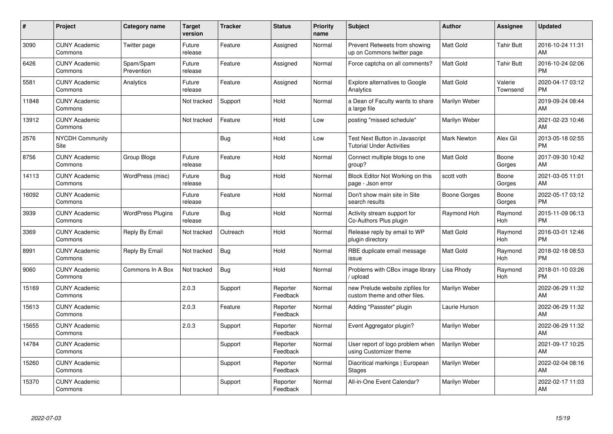| #     | <b>Project</b>                  | Category name            | <b>Target</b><br>version | <b>Tracker</b> | <b>Status</b>        | <b>Priority</b><br>name | <b>Subject</b>                                                     | <b>Author</b>      | Assignee            | <b>Updated</b>                |
|-------|---------------------------------|--------------------------|--------------------------|----------------|----------------------|-------------------------|--------------------------------------------------------------------|--------------------|---------------------|-------------------------------|
| 3090  | <b>CUNY Academic</b><br>Commons | Twitter page             | Future<br>release        | Feature        | Assigned             | Normal                  | Prevent Retweets from showing<br>up on Commons twitter page        | <b>Matt Gold</b>   | <b>Tahir Butt</b>   | 2016-10-24 11:31<br>AM        |
| 6426  | <b>CUNY Academic</b><br>Commons | Spam/Spam<br>Prevention  | Future<br>release        | Feature        | Assigned             | Normal                  | Force captcha on all comments?                                     | <b>Matt Gold</b>   | Tahir Butt          | 2016-10-24 02:06<br><b>PM</b> |
| 5581  | <b>CUNY Academic</b><br>Commons | Analytics                | Future<br>release        | Feature        | Assigned             | Normal                  | <b>Explore alternatives to Google</b><br>Analytics                 | <b>Matt Gold</b>   | Valerie<br>Townsend | 2020-04-17 03:12<br><b>PM</b> |
| 11848 | <b>CUNY Academic</b><br>Commons |                          | Not tracked              | Support        | Hold                 | Normal                  | a Dean of Faculty wants to share<br>a large file                   | Marilyn Weber      |                     | 2019-09-24 08:44<br>AM        |
| 13912 | <b>CUNY Academic</b><br>Commons |                          | Not tracked              | Feature        | Hold                 | Low                     | posting "missed schedule"                                          | Marilyn Weber      |                     | 2021-02-23 10:46<br>AM        |
| 2576  | NYCDH Community<br>Site         |                          |                          | Bug            | Hold                 | Low                     | Test Next Button in Javascript<br><b>Tutorial Under Activities</b> | <b>Mark Newton</b> | Alex Gil            | 2013-05-18 02:55<br><b>PM</b> |
| 8756  | <b>CUNY Academic</b><br>Commons | Group Blogs              | Future<br>release        | Feature        | Hold                 | Normal                  | Connect multiple blogs to one<br>group?                            | <b>Matt Gold</b>   | Boone<br>Gorges     | 2017-09-30 10:42<br>AM        |
| 14113 | <b>CUNY Academic</b><br>Commons | WordPress (misc)         | Future<br>release        | Bug            | Hold                 | Normal                  | Block Editor Not Working on this<br>page - Json error              | scott voth         | Boone<br>Gorges     | 2021-03-05 11:01<br>AM        |
| 16092 | <b>CUNY Academic</b><br>Commons |                          | Future<br>release        | Feature        | Hold                 | Normal                  | Don't show main site in Site<br>search results                     | Boone Gorges       | Boone<br>Gorges     | 2022-05-17 03:12<br><b>PM</b> |
| 3939  | <b>CUNY Academic</b><br>Commons | <b>WordPress Plugins</b> | Future<br>release        | Bug            | Hold                 | Normal                  | Activity stream support for<br>Co-Authors Plus plugin              | Raymond Hoh        | Raymond<br>Hoh      | 2015-11-09 06:13<br><b>PM</b> |
| 3369  | <b>CUNY Academic</b><br>Commons | Reply By Email           | Not tracked              | Outreach       | Hold                 | Normal                  | Release reply by email to WP<br>plugin directory                   | <b>Matt Gold</b>   | Raymond<br>Hoh      | 2016-03-01 12:46<br><b>PM</b> |
| 8991  | <b>CUNY Academic</b><br>Commons | Reply By Email           | Not tracked              | Bug            | Hold                 | Normal                  | RBE duplicate email message<br>issue                               | <b>Matt Gold</b>   | Raymond<br>Hoh      | 2018-02-18 08:53<br><b>PM</b> |
| 9060  | <b>CUNY Academic</b><br>Commons | Commons In A Box         | Not tracked              | Bug            | Hold                 | Normal                  | Problems with CBox image library<br>/ upload                       | Lisa Rhody         | Raymond<br>Hoh      | 2018-01-10 03:26<br><b>PM</b> |
| 15169 | <b>CUNY Academic</b><br>Commons |                          | 2.0.3                    | Support        | Reporter<br>Feedback | Normal                  | new Prelude website zipfiles for<br>custom theme and other files.  | Marilyn Weber      |                     | 2022-06-29 11:32<br>AM        |
| 15613 | <b>CUNY Academic</b><br>Commons |                          | 2.0.3                    | Feature        | Reporter<br>Feedback | Normal                  | Adding "Passster" plugin                                           | Laurie Hurson      |                     | 2022-06-29 11:32<br>AM        |
| 15655 | <b>CUNY Academic</b><br>Commons |                          | 2.0.3                    | Support        | Reporter<br>Feedback | Normal                  | Event Aggregator plugin?                                           | Marilyn Weber      |                     | 2022-06-29 11:32<br>AM        |
| 14784 | <b>CUNY Academic</b><br>Commons |                          |                          | Support        | Reporter<br>Feedback | Normal                  | User report of logo problem when<br>using Customizer theme         | Marilyn Weber      |                     | 2021-09-17 10:25<br>AM        |
| 15260 | <b>CUNY Academic</b><br>Commons |                          |                          | Support        | Reporter<br>Feedback | Normal                  | Diacritical markings   European<br><b>Stages</b>                   | Marilyn Weber      |                     | 2022-02-04 08:16<br>AM        |
| 15370 | <b>CUNY Academic</b><br>Commons |                          |                          | Support        | Reporter<br>Feedback | Normal                  | All-in-One Event Calendar?                                         | Marilyn Weber      |                     | 2022-02-17 11:03<br>AM        |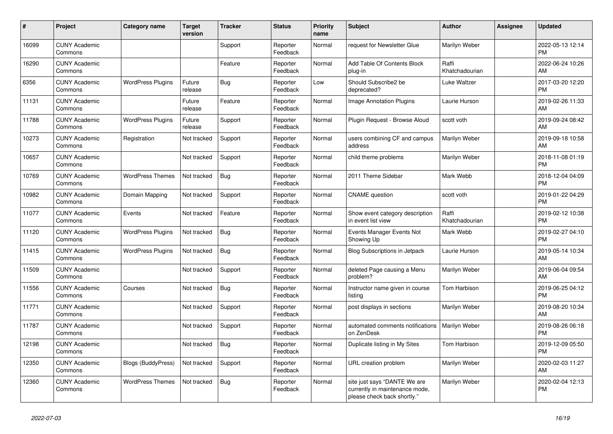| #     | Project                         | <b>Category name</b>      | <b>Target</b><br>version | <b>Tracker</b> | <b>Status</b>        | <b>Priority</b><br>name | <b>Subject</b>                                                                                | <b>Author</b>           | Assignee | <b>Updated</b>                |
|-------|---------------------------------|---------------------------|--------------------------|----------------|----------------------|-------------------------|-----------------------------------------------------------------------------------------------|-------------------------|----------|-------------------------------|
| 16099 | <b>CUNY Academic</b><br>Commons |                           |                          | Support        | Reporter<br>Feedback | Normal                  | request for Newsletter Glue                                                                   | Marilyn Weber           |          | 2022-05-13 12:14<br><b>PM</b> |
| 16290 | <b>CUNY Academic</b><br>Commons |                           |                          | Feature        | Reporter<br>Feedback | Normal                  | Add Table Of Contents Block<br>plug-in                                                        | Raffi<br>Khatchadourian |          | 2022-06-24 10:26<br>AM        |
| 6356  | <b>CUNY Academic</b><br>Commons | <b>WordPress Plugins</b>  | Future<br>release        | Bug            | Reporter<br>Feedback | Low                     | Should Subscribe2 be<br>deprecated?                                                           | Luke Waltzer            |          | 2017-03-20 12:20<br><b>PM</b> |
| 11131 | <b>CUNY Academic</b><br>Commons |                           | Future<br>release        | Feature        | Reporter<br>Feedback | Normal                  | <b>Image Annotation Plugins</b>                                                               | Laurie Hurson           |          | 2019-02-26 11:33<br>AM        |
| 11788 | <b>CUNY Academic</b><br>Commons | <b>WordPress Plugins</b>  | Future<br>release        | Support        | Reporter<br>Feedback | Normal                  | Plugin Request - Browse Aloud                                                                 | scott voth              |          | 2019-09-24 08:42<br>AM        |
| 10273 | <b>CUNY Academic</b><br>Commons | Registration              | Not tracked              | Support        | Reporter<br>Feedback | Normal                  | users combining CF and campus<br>address                                                      | Marilyn Weber           |          | 2019-09-18 10:58<br>AM        |
| 10657 | <b>CUNY Academic</b><br>Commons |                           | Not tracked              | Support        | Reporter<br>Feedback | Normal                  | child theme problems                                                                          | Marilyn Weber           |          | 2018-11-08 01:19<br><b>PM</b> |
| 10769 | <b>CUNY Academic</b><br>Commons | <b>WordPress Themes</b>   | Not tracked              | <b>Bug</b>     | Reporter<br>Feedback | Normal                  | 2011 Theme Sidebar                                                                            | Mark Webb               |          | 2018-12-04 04:09<br><b>PM</b> |
| 10982 | <b>CUNY Academic</b><br>Commons | Domain Mapping            | Not tracked              | Support        | Reporter<br>Feedback | Normal                  | <b>CNAME</b> question                                                                         | scott voth              |          | 2019-01-22 04:29<br><b>PM</b> |
| 11077 | <b>CUNY Academic</b><br>Commons | Events                    | Not tracked              | Feature        | Reporter<br>Feedback | Normal                  | Show event category description<br>in event list view                                         | Raffi<br>Khatchadourian |          | 2019-02-12 10:38<br><b>PM</b> |
| 11120 | <b>CUNY Academic</b><br>Commons | <b>WordPress Plugins</b>  | Not tracked              | Bug            | Reporter<br>Feedback | Normal                  | Events Manager Events Not<br>Showing Up                                                       | Mark Webb               |          | 2019-02-27 04:10<br><b>PM</b> |
| 11415 | <b>CUNY Academic</b><br>Commons | <b>WordPress Plugins</b>  | Not tracked              | Bug            | Reporter<br>Feedback | Normal                  | <b>Blog Subscriptions in Jetpack</b>                                                          | Laurie Hurson           |          | 2019-05-14 10:34<br>AM        |
| 11509 | <b>CUNY Academic</b><br>Commons |                           | Not tracked              | Support        | Reporter<br>Feedback | Normal                  | deleted Page causing a Menu<br>problem?                                                       | Marilyn Weber           |          | 2019-06-04 09:54<br>AM        |
| 11556 | <b>CUNY Academic</b><br>Commons | Courses                   | Not tracked              | Bug            | Reporter<br>Feedback | Normal                  | Instructor name given in course<br>listing                                                    | Tom Harbison            |          | 2019-06-25 04:12<br><b>PM</b> |
| 11771 | <b>CUNY Academic</b><br>Commons |                           | Not tracked              | Support        | Reporter<br>Feedback | Normal                  | post displays in sections                                                                     | Marilyn Weber           |          | 2019-08-20 10:34<br>AM        |
| 11787 | <b>CUNY Academic</b><br>Commons |                           | Not tracked              | Support        | Reporter<br>Feedback | Normal                  | automated comments notifications<br>on ZenDesk                                                | Marilyn Weber           |          | 2019-08-26 06:18<br><b>PM</b> |
| 12198 | <b>CUNY Academic</b><br>Commons |                           | Not tracked              | Bug            | Reporter<br>Feedback | Normal                  | Duplicate listing in My Sites                                                                 | Tom Harbison            |          | 2019-12-09 05:50<br><b>PM</b> |
| 12350 | <b>CUNY Academic</b><br>Commons | <b>Blogs (BuddyPress)</b> | Not tracked              | Support        | Reporter<br>Feedback | Normal                  | URL creation problem                                                                          | Marilyn Weber           |          | 2020-02-03 11:27<br>AM        |
| 12360 | <b>CUNY Academic</b><br>Commons | <b>WordPress Themes</b>   | Not tracked              | Bug            | Reporter<br>Feedback | Normal                  | site just says "DANTE We are<br>currently in maintenance mode,<br>please check back shortly." | Marilyn Weber           |          | 2020-02-04 12:13<br><b>PM</b> |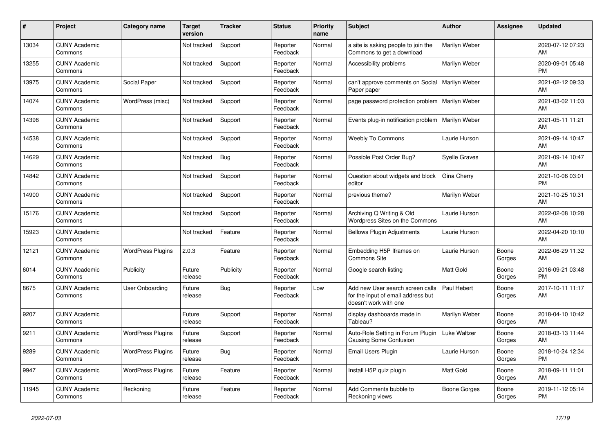| #     | Project                         | <b>Category name</b>     | <b>Target</b><br>version | <b>Tracker</b> | <b>Status</b>        | <b>Priority</b><br>name | <b>Subject</b>                                                                                  | <b>Author</b>        | Assignee        | <b>Updated</b>                |
|-------|---------------------------------|--------------------------|--------------------------|----------------|----------------------|-------------------------|-------------------------------------------------------------------------------------------------|----------------------|-----------------|-------------------------------|
| 13034 | <b>CUNY Academic</b><br>Commons |                          | Not tracked              | Support        | Reporter<br>Feedback | Normal                  | a site is asking people to join the<br>Commons to get a download                                | Marilyn Weber        |                 | 2020-07-12 07:23<br>AM        |
| 13255 | <b>CUNY Academic</b><br>Commons |                          | Not tracked              | Support        | Reporter<br>Feedback | Normal                  | Accessibility problems                                                                          | Marilyn Weber        |                 | 2020-09-01 05:48<br><b>PM</b> |
| 13975 | <b>CUNY Academic</b><br>Commons | Social Paper             | Not tracked              | Support        | Reporter<br>Feedback | Normal                  | can't approve comments on Social<br>Paper paper                                                 | Marilyn Weber        |                 | 2021-02-12 09:33<br>AM        |
| 14074 | <b>CUNY Academic</b><br>Commons | WordPress (misc)         | Not tracked              | Support        | Reporter<br>Feedback | Normal                  | page password protection problem                                                                | Marilyn Weber        |                 | 2021-03-02 11:03<br>AM        |
| 14398 | <b>CUNY Academic</b><br>Commons |                          | Not tracked              | Support        | Reporter<br>Feedback | Normal                  | Events plug-in notification problem                                                             | Marilyn Weber        |                 | 2021-05-11 11:21<br>AM        |
| 14538 | <b>CUNY Academic</b><br>Commons |                          | Not tracked              | Support        | Reporter<br>Feedback | Normal                  | <b>Weebly To Commons</b>                                                                        | Laurie Hurson        |                 | 2021-09-14 10:47<br>AM        |
| 14629 | <b>CUNY Academic</b><br>Commons |                          | Not tracked              | <b>Bug</b>     | Reporter<br>Feedback | Normal                  | Possible Post Order Bug?                                                                        | <b>Syelle Graves</b> |                 | 2021-09-14 10:47<br>AM        |
| 14842 | <b>CUNY Academic</b><br>Commons |                          | Not tracked              | Support        | Reporter<br>Feedback | Normal                  | Question about widgets and block<br>editor                                                      | Gina Cherry          |                 | 2021-10-06 03:01<br><b>PM</b> |
| 14900 | <b>CUNY Academic</b><br>Commons |                          | Not tracked              | Support        | Reporter<br>Feedback | Normal                  | previous theme?                                                                                 | Marilyn Weber        |                 | 2021-10-25 10:31<br>AM        |
| 15176 | <b>CUNY Academic</b><br>Commons |                          | Not tracked              | Support        | Reporter<br>Feedback | Normal                  | Archiving Q Writing & Old<br>Wordpress Sites on the Commons                                     | Laurie Hurson        |                 | 2022-02-08 10:28<br>AM        |
| 15923 | <b>CUNY Academic</b><br>Commons |                          | Not tracked              | Feature        | Reporter<br>Feedback | Normal                  | <b>Bellows Plugin Adjustments</b>                                                               | Laurie Hurson        |                 | 2022-04-20 10:10<br>AM        |
| 12121 | <b>CUNY Academic</b><br>Commons | <b>WordPress Plugins</b> | 2.0.3                    | Feature        | Reporter<br>Feedback | Normal                  | Embedding H5P Iframes on<br>Commons Site                                                        | Laurie Hurson        | Boone<br>Gorges | 2022-06-29 11:32<br>AM        |
| 6014  | <b>CUNY Academic</b><br>Commons | Publicity                | Future<br>release        | Publicity      | Reporter<br>Feedback | Normal                  | Google search listing                                                                           | <b>Matt Gold</b>     | Boone<br>Gorges | 2016-09-21 03:48<br><b>PM</b> |
| 8675  | <b>CUNY Academic</b><br>Commons | User Onboarding          | Future<br>release        | Bug            | Reporter<br>Feedback | Low                     | Add new User search screen calls<br>for the input of email address but<br>doesn't work with one | Paul Hebert          | Boone<br>Gorges | 2017-10-11 11:17<br>AM        |
| 9207  | <b>CUNY Academic</b><br>Commons |                          | Future<br>release        | Support        | Reporter<br>Feedback | Normal                  | display dashboards made in<br>Tableau?                                                          | Marilyn Weber        | Boone<br>Gorges | 2018-04-10 10:42<br>AM        |
| 9211  | <b>CUNY Academic</b><br>Commons | <b>WordPress Plugins</b> | Future<br>release        | Support        | Reporter<br>Feedback | Normal                  | Auto-Role Setting in Forum Plugin<br><b>Causing Some Confusion</b>                              | Luke Waltzer         | Boone<br>Gorges | 2018-03-13 11:44<br>AM        |
| 9289  | <b>CUNY Academic</b><br>Commons | <b>WordPress Plugins</b> | Future<br>release        | Bug            | Reporter<br>Feedback | Normal                  | <b>Email Users Plugin</b>                                                                       | Laurie Hurson        | Boone<br>Gorges | 2018-10-24 12:34<br><b>PM</b> |
| 9947  | <b>CUNY Academic</b><br>Commons | <b>WordPress Plugins</b> | Future<br>release        | Feature        | Reporter<br>Feedback | Normal                  | Install H5P quiz plugin                                                                         | <b>Matt Gold</b>     | Boone<br>Gorges | 2018-09-11 11:01<br>AM        |
| 11945 | <b>CUNY Academic</b><br>Commons | Reckoning                | Future<br>release        | Feature        | Reporter<br>Feedback | Normal                  | Add Comments bubble to<br>Reckoning views                                                       | Boone Gorges         | Boone<br>Gorges | 2019-11-12 05:14<br><b>PM</b> |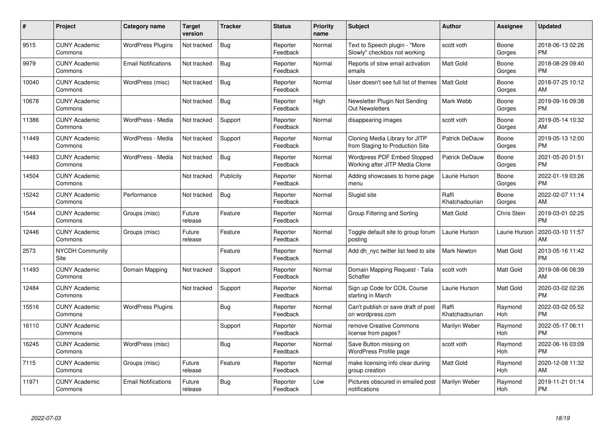| #     | Project                         | <b>Category name</b>       | <b>Target</b><br>version | <b>Tracker</b> | <b>Status</b>        | <b>Priority</b><br>name | <b>Subject</b>                                                       | <b>Author</b>           | <b>Assignee</b> | <b>Updated</b>                |
|-------|---------------------------------|----------------------------|--------------------------|----------------|----------------------|-------------------------|----------------------------------------------------------------------|-------------------------|-----------------|-------------------------------|
| 9515  | <b>CUNY Academic</b><br>Commons | <b>WordPress Plugins</b>   | Not tracked              | Bug            | Reporter<br>Feedback | Normal                  | Text to Speech plugin - "More<br>Slowly" checkbox not working        | scott voth              | Boone<br>Gorges | 2018-06-13 02:26<br><b>PM</b> |
| 9979  | <b>CUNY Academic</b><br>Commons | <b>Email Notifications</b> | Not tracked              | Bug            | Reporter<br>Feedback | Normal                  | Reports of slow email activation<br>emails                           | <b>Matt Gold</b>        | Boone<br>Gorges | 2018-08-29 09:40<br><b>PM</b> |
| 10040 | <b>CUNY Academic</b><br>Commons | WordPress (misc)           | Not tracked              | <b>Bug</b>     | Reporter<br>Feedback | Normal                  | User doesn't see full list of themes                                 | <b>Matt Gold</b>        | Boone<br>Gorges | 2018-07-25 10:12<br>AM        |
| 10678 | <b>CUNY Academic</b><br>Commons |                            | Not tracked              | <b>Bug</b>     | Reporter<br>Feedback | High                    | Newsletter Plugin Not Sending<br><b>Out Newsletters</b>              | Mark Webb               | Boone<br>Gorges | 2019-09-16 09:38<br><b>PM</b> |
| 11386 | <b>CUNY Academic</b><br>Commons | WordPress - Media          | Not tracked              | Support        | Reporter<br>Feedback | Normal                  | disappearing images                                                  | scott voth              | Boone<br>Gorges | 2019-05-14 10:32<br>AM        |
| 11449 | <b>CUNY Academic</b><br>Commons | WordPress - Media          | Not tracked              | Support        | Reporter<br>Feedback | Normal                  | Cloning Media Library for JITP<br>from Staging to Production Site    | <b>Patrick DeDauw</b>   | Boone<br>Gorges | 2019-05-13 12:00<br><b>PM</b> |
| 14483 | <b>CUNY Academic</b><br>Commons | WordPress - Media          | Not tracked              | Bug            | Reporter<br>Feedback | Normal                  | <b>Wordpress PDF Embed Stopped</b><br>Working after JITP Media Clone | Patrick DeDauw          | Boone<br>Gorges | 2021-05-20 01:51<br><b>PM</b> |
| 14504 | <b>CUNY Academic</b><br>Commons |                            | Not tracked              | Publicity      | Reporter<br>Feedback | Normal                  | Adding showcases to home page<br>menu                                | Laurie Hurson           | Boone<br>Gorges | 2022-01-19 03:26<br><b>PM</b> |
| 15242 | <b>CUNY Academic</b><br>Commons | Performance                | Not tracked              | Bug            | Reporter<br>Feedback | Normal                  | Slugist site                                                         | Raffi<br>Khatchadourian | Boone<br>Gorges | 2022-02-07 11:14<br>AM        |
| 1544  | <b>CUNY Academic</b><br>Commons | Groups (misc)              | Future<br>release        | Feature        | Reporter<br>Feedback | Normal                  | Group Filtering and Sorting                                          | <b>Matt Gold</b>        | Chris Stein     | 2019-03-01 02:25<br><b>PM</b> |
| 12446 | <b>CUNY Academic</b><br>Commons | Groups (misc)              | Future<br>release        | Feature        | Reporter<br>Feedback | Normal                  | Toggle default site to group forum<br>posting                        | Laurie Hurson           | Laurie Hurson   | 2020-03-10 11:57<br>AM        |
| 2573  | <b>NYCDH Community</b><br>Site  |                            |                          | Feature        | Reporter<br>Feedback | Normal                  | Add dh nyc twitter list feed to site                                 | <b>Mark Newton</b>      | Matt Gold       | 2013-05-16 11:42<br><b>PM</b> |
| 11493 | <b>CUNY Academic</b><br>Commons | Domain Mapping             | Not tracked              | Support        | Reporter<br>Feedback | Normal                  | Domain Mapping Request - Talia<br>Schaffer                           | scott voth              | Matt Gold       | 2019-08-06 08:39<br>AM        |
| 12484 | <b>CUNY Academic</b><br>Commons |                            | Not tracked              | Support        | Reporter<br>Feedback | Normal                  | Sign up Code for COIL Course<br>starting in March                    | Laurie Hurson           | Matt Gold       | 2020-03-02 02:26<br><b>PM</b> |
| 15516 | <b>CUNY Academic</b><br>Commons | <b>WordPress Plugins</b>   |                          | Bug            | Reporter<br>Feedback | Normal                  | Can't publish or save draft of post<br>on wordpress.com              | Raffi<br>Khatchadourian | Raymond<br>Hoh  | 2022-03-02 05:52<br><b>PM</b> |
| 16110 | <b>CUNY Academic</b><br>Commons |                            |                          | Support        | Reporter<br>Feedback | Normal                  | remove Creative Commons<br>license from pages?                       | Marilyn Weber           | Raymond<br>Hoh  | 2022-05-17 06:11<br><b>PM</b> |
| 16245 | <b>CUNY Academic</b><br>Commons | WordPress (misc)           |                          | Bug            | Reporter<br>Feedback | Normal                  | Save Button missing on<br><b>WordPress Profile page</b>              | scott voth              | Raymond<br>Hoh  | 2022-06-16 03:09<br><b>PM</b> |
| 7115  | <b>CUNY Academic</b><br>Commons | Groups (misc)              | Future<br>release        | Feature        | Reporter<br>Feedback | Normal                  | make licensing info clear during<br>group creation                   | <b>Matt Gold</b>        | Raymond<br>Hoh  | 2020-12-08 11:32<br>AM        |
| 11971 | <b>CUNY Academic</b><br>Commons | <b>Email Notifications</b> | Future<br>release        | <b>Bug</b>     | Reporter<br>Feedback | Low                     | Pictures obscured in emailed post<br>notifications                   | Marilyn Weber           | Raymond<br>Hoh  | 2019-11-21 01:14<br><b>PM</b> |